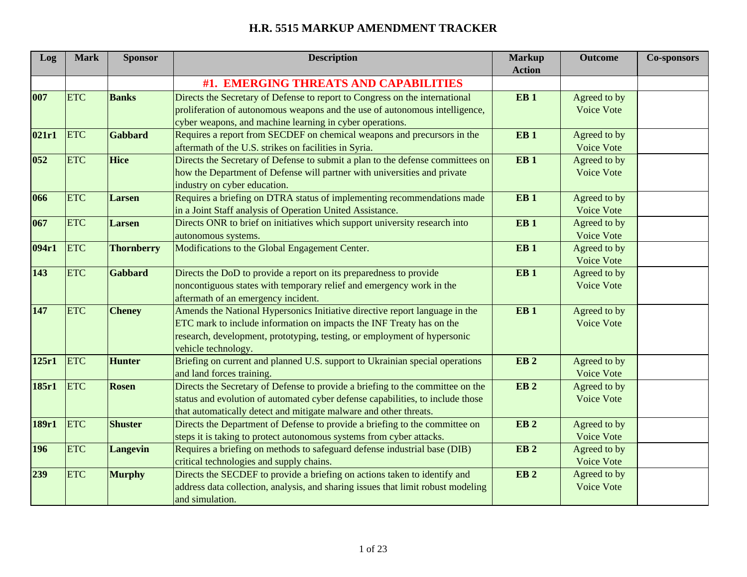| Log   | <b>Mark</b> | <b>Sponsor</b>    | <b>Description</b>                                                               | <b>Markup</b>   | <b>Outcome</b>    | <b>Co-sponsors</b> |
|-------|-------------|-------------------|----------------------------------------------------------------------------------|-----------------|-------------------|--------------------|
|       |             |                   |                                                                                  | <b>Action</b>   |                   |                    |
|       |             |                   | #1. EMERGING THREATS AND CAPABILITIES                                            |                 |                   |                    |
| 007   | <b>ETC</b>  | <b>Banks</b>      | Directs the Secretary of Defense to report to Congress on the international      | EB <sub>1</sub> | Agreed to by      |                    |
|       |             |                   | proliferation of autonomous weapons and the use of autonomous intelligence,      |                 | <b>Voice Vote</b> |                    |
|       |             |                   | cyber weapons, and machine learning in cyber operations.                         |                 |                   |                    |
| 021r1 | <b>ETC</b>  | Gabbard           | Requires a report from SECDEF on chemical weapons and precursors in the          | EB <sub>1</sub> | Agreed to by      |                    |
|       |             |                   | aftermath of the U.S. strikes on facilities in Syria.                            |                 | Voice Vote        |                    |
| 052   | <b>ETC</b>  | Hice              | Directs the Secretary of Defense to submit a plan to the defense committees on   | EB <sub>1</sub> | Agreed to by      |                    |
|       |             |                   | how the Department of Defense will partner with universities and private         |                 | Voice Vote        |                    |
|       |             |                   | industry on cyber education.                                                     |                 |                   |                    |
| 066   | <b>ETC</b>  | <b>Larsen</b>     | Requires a briefing on DTRA status of implementing recommendations made          | EB <sub>1</sub> | Agreed to by      |                    |
|       |             |                   | in a Joint Staff analysis of Operation United Assistance.                        |                 | Voice Vote        |                    |
| 067   | <b>ETC</b>  | Larsen            | Directs ONR to brief on initiatives which support university research into       | EB <sub>1</sub> | Agreed to by      |                    |
|       |             |                   | autonomous systems.                                                              |                 | Voice Vote        |                    |
| 094r1 | <b>ETC</b>  | <b>Thornberry</b> | Modifications to the Global Engagement Center.                                   | EB <sub>1</sub> | Agreed to by      |                    |
|       |             |                   |                                                                                  |                 | Voice Vote        |                    |
| 143   | <b>ETC</b>  | <b>Gabbard</b>    | Directs the DoD to provide a report on its preparedness to provide               | EB <sub>1</sub> | Agreed to by      |                    |
|       |             |                   | noncontiguous states with temporary relief and emergency work in the             |                 | Voice Vote        |                    |
|       |             |                   | aftermath of an emergency incident.                                              |                 |                   |                    |
| 147   | <b>ETC</b>  | <b>Cheney</b>     | Amends the National Hypersonics Initiative directive report language in the      | EB <sub>1</sub> | Agreed to by      |                    |
|       |             |                   | ETC mark to include information on impacts the INF Treaty has on the             |                 | <b>Voice Vote</b> |                    |
|       |             |                   | research, development, prototyping, testing, or employment of hypersonic         |                 |                   |                    |
|       |             |                   | vehicle technology.                                                              |                 |                   |                    |
| 125r1 | <b>ETC</b>  | <b>Hunter</b>     | Briefing on current and planned U.S. support to Ukrainian special operations     | EB <sub>2</sub> | Agreed to by      |                    |
|       |             |                   | and land forces training.                                                        |                 | Voice Vote        |                    |
| 185r1 | <b>ETC</b>  | <b>Rosen</b>      | Directs the Secretary of Defense to provide a briefing to the committee on the   | EB <sub>2</sub> | Agreed to by      |                    |
|       |             |                   | status and evolution of automated cyber defense capabilities, to include those   |                 | Voice Vote        |                    |
|       |             |                   | that automatically detect and mitigate malware and other threats.                |                 |                   |                    |
| 189r1 | <b>ETC</b>  | <b>Shuster</b>    | Directs the Department of Defense to provide a briefing to the committee on      | EB <sub>2</sub> | Agreed to by      |                    |
|       |             |                   | steps it is taking to protect autonomous systems from cyber attacks.             |                 | Voice Vote        |                    |
| 196   | <b>ETC</b>  | <b>Langevin</b>   | Requires a briefing on methods to safeguard defense industrial base (DIB)        | EB <sub>2</sub> | Agreed to by      |                    |
|       |             |                   | critical technologies and supply chains.                                         |                 | Voice Vote        |                    |
| 239   | <b>ETC</b>  | <b>Murphy</b>     | Directs the SECDEF to provide a briefing on actions taken to identify and        | EB <sub>2</sub> | Agreed to by      |                    |
|       |             |                   | address data collection, analysis, and sharing issues that limit robust modeling |                 | <b>Voice Vote</b> |                    |
|       |             |                   | and simulation.                                                                  |                 |                   |                    |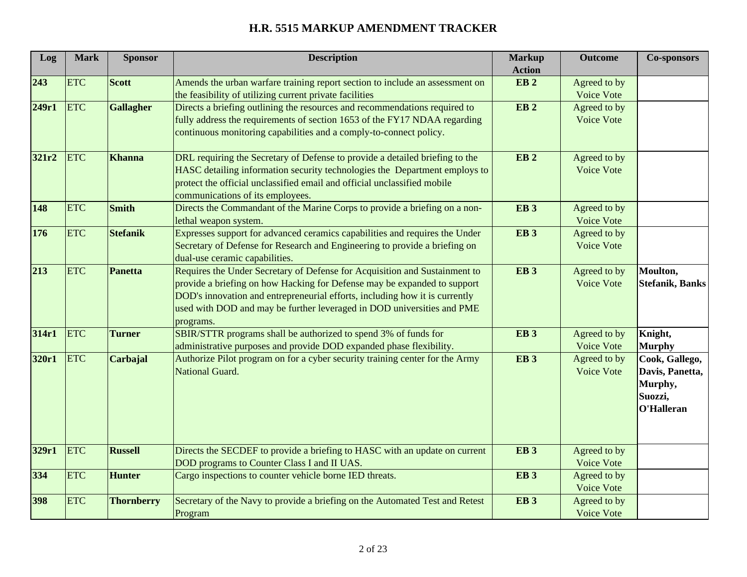| Log   | <b>Mark</b> | <b>Sponsor</b>    | <b>Description</b>                                                                                                                                                                                                                                                                                                           | <b>Markup</b><br><b>Action</b> | <b>Outcome</b>                    | <b>Co-sponsors</b>                                                    |
|-------|-------------|-------------------|------------------------------------------------------------------------------------------------------------------------------------------------------------------------------------------------------------------------------------------------------------------------------------------------------------------------------|--------------------------------|-----------------------------------|-----------------------------------------------------------------------|
| 243   | <b>ETC</b>  | <b>Scott</b>      | Amends the urban warfare training report section to include an assessment on<br>the feasibility of utilizing current private facilities                                                                                                                                                                                      | EB <sub>2</sub>                | Agreed to by<br>Voice Vote        |                                                                       |
| 249r1 | <b>ETC</b>  | <b>Gallagher</b>  | Directs a briefing outlining the resources and recommendations required to<br>fully address the requirements of section 1653 of the FY17 NDAA regarding<br>continuous monitoring capabilities and a comply-to-connect policy.                                                                                                | EB <sub>2</sub>                | Agreed to by<br>Voice Vote        |                                                                       |
| 321r2 | <b>ETC</b>  | <b>Khanna</b>     | DRL requiring the Secretary of Defense to provide a detailed briefing to the<br>HASC detailing information security technologies the Department employs to<br>protect the official unclassified email and official unclassified mobile<br>communications of its employees.                                                   | EB <sub>2</sub>                | Agreed to by<br>Voice Vote        |                                                                       |
| 148   | <b>ETC</b>  | <b>Smith</b>      | Directs the Commandant of the Marine Corps to provide a briefing on a non-<br>lethal weapon system.                                                                                                                                                                                                                          | <b>EB3</b>                     | Agreed to by<br>Voice Vote        |                                                                       |
| 176   | <b>ETC</b>  | <b>Stefanik</b>   | Expresses support for advanced ceramics capabilities and requires the Under<br>Secretary of Defense for Research and Engineering to provide a briefing on<br>dual-use ceramic capabilities.                                                                                                                                  | <b>EB3</b>                     | Agreed to by<br><b>Voice Vote</b> |                                                                       |
| 213   | <b>ETC</b>  | <b>Panetta</b>    | Requires the Under Secretary of Defense for Acquisition and Sustainment to<br>provide a briefing on how Hacking for Defense may be expanded to support<br>DOD's innovation and entrepreneurial efforts, including how it is currently<br>used with DOD and may be further leveraged in DOD universities and PME<br>programs. | EB <sub>3</sub>                | Agreed to by<br>Voice Vote        | Moulton,<br><b>Stefanik, Banks</b>                                    |
| 314r1 | <b>ETC</b>  | <b>Turner</b>     | SBIR/STTR programs shall be authorized to spend 3% of funds for<br>administrative purposes and provide DOD expanded phase flexibility.                                                                                                                                                                                       | EB <sub>3</sub>                | Agreed to by<br>Voice Vote        | Knight,<br><b>Murphy</b>                                              |
| 320r1 | <b>ETC</b>  | Carbajal          | Authorize Pilot program on for a cyber security training center for the Army<br><b>National Guard.</b>                                                                                                                                                                                                                       | EB <sub>3</sub>                | Agreed to by<br>Voice Vote        | Cook, Gallego,<br>Davis, Panetta,<br>Murphy,<br>Suozzi,<br>O'Halleran |
| 329r1 | <b>ETC</b>  | <b>Russell</b>    | Directs the SECDEF to provide a briefing to HASC with an update on current<br>DOD programs to Counter Class I and II UAS.                                                                                                                                                                                                    | EB <sub>3</sub>                | Agreed to by<br>Voice Vote        |                                                                       |
| 334   | <b>ETC</b>  | <b>Hunter</b>     | Cargo inspections to counter vehicle borne IED threats.                                                                                                                                                                                                                                                                      | EB <sub>3</sub>                | Agreed to by<br>Voice Vote        |                                                                       |
| 398   | <b>ETC</b>  | <b>Thornberry</b> | Secretary of the Navy to provide a briefing on the Automated Test and Retest<br>Program                                                                                                                                                                                                                                      | EB <sub>3</sub>                | Agreed to by<br>Voice Vote        |                                                                       |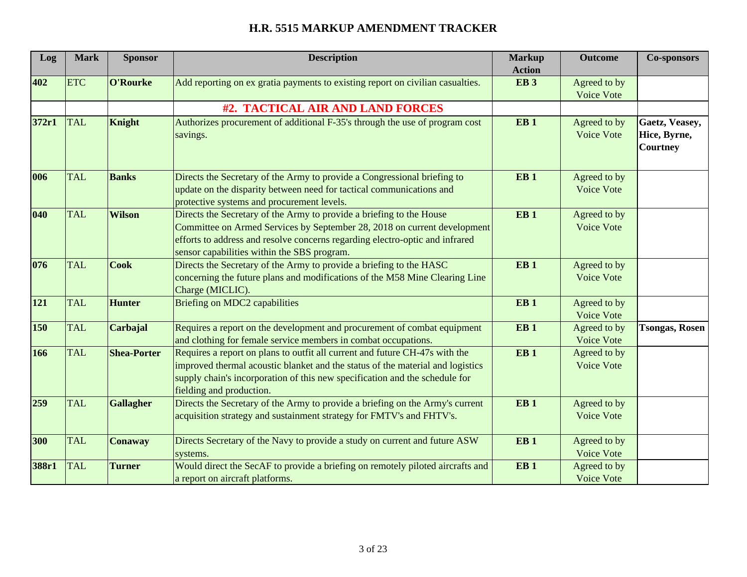| Log   | <b>Mark</b> | <b>Sponsor</b>     | <b>Description</b>                                                             | <b>Markup</b>   | <b>Outcome</b>    | <b>Co-sponsors</b>    |
|-------|-------------|--------------------|--------------------------------------------------------------------------------|-----------------|-------------------|-----------------------|
|       |             |                    |                                                                                | <b>Action</b>   |                   |                       |
| 402   | <b>ETC</b>  | O'Rourke           | Add reporting on ex gratia payments to existing report on civilian casualties. | EB <sub>3</sub> | Agreed to by      |                       |
|       |             |                    |                                                                                |                 | Voice Vote        |                       |
|       |             |                    | #2. TACTICAL AIR AND LAND FORCES                                               |                 |                   |                       |
| 372r1 | <b>TAL</b>  | Knight             | Authorizes procurement of additional F-35's through the use of program cost    | EB <sub>1</sub> | Agreed to by      | Gaetz, Veasey,        |
|       |             |                    | savings.                                                                       |                 | Voice Vote        | Hice, Byrne,          |
|       |             |                    |                                                                                |                 |                   | <b>Courtney</b>       |
|       |             |                    |                                                                                |                 |                   |                       |
| 006   | <b>TAL</b>  | <b>Banks</b>       | Directs the Secretary of the Army to provide a Congressional briefing to       | EB <sub>1</sub> | Agreed to by      |                       |
|       |             |                    | update on the disparity between need for tactical communications and           |                 | Voice Vote        |                       |
|       |             |                    | protective systems and procurement levels.                                     |                 |                   |                       |
| 040   | <b>TAL</b>  | <b>Wilson</b>      | Directs the Secretary of the Army to provide a briefing to the House           | EB <sub>1</sub> | Agreed to by      |                       |
|       |             |                    | Committee on Armed Services by September 28, 2018 on current development       |                 | Voice Vote        |                       |
|       |             |                    | efforts to address and resolve concerns regarding electro-optic and infrared   |                 |                   |                       |
|       |             |                    | sensor capabilities within the SBS program.                                    |                 |                   |                       |
| 076   | <b>TAL</b>  | <b>Cook</b>        | Directs the Secretary of the Army to provide a briefing to the HASC            | EB <sub>1</sub> | Agreed to by      |                       |
|       |             |                    | concerning the future plans and modifications of the M58 Mine Clearing Line    |                 | Voice Vote        |                       |
|       |             |                    | Charge (MICLIC).                                                               |                 |                   |                       |
| 121   | <b>TAL</b>  | <b>Hunter</b>      | <b>Briefing on MDC2 capabilities</b>                                           | EB <sub>1</sub> | Agreed to by      |                       |
|       |             |                    |                                                                                |                 | <b>Voice Vote</b> |                       |
| 150   | <b>TAL</b>  | <b>Carbajal</b>    | Requires a report on the development and procurement of combat equipment       | EB <sub>1</sub> | Agreed to by      | <b>Tsongas, Rosen</b> |
|       |             |                    | and clothing for female service members in combat occupations.                 |                 | Voice Vote        |                       |
| 166   | <b>TAL</b>  | <b>Shea-Porter</b> | Requires a report on plans to outfit all current and future CH-47s with the    | EB <sub>1</sub> | Agreed to by      |                       |
|       |             |                    | improved thermal acoustic blanket and the status of the material and logistics |                 | Voice Vote        |                       |
|       |             |                    | supply chain's incorporation of this new specification and the schedule for    |                 |                   |                       |
|       |             |                    | fielding and production.                                                       |                 |                   |                       |
| 259   | <b>TAL</b>  | <b>Gallagher</b>   | Directs the Secretary of the Army to provide a briefing on the Army's current  | EB <sub>1</sub> | Agreed to by      |                       |
|       |             |                    | acquisition strategy and sustainment strategy for FMTV's and FHTV's.           |                 | <b>Voice Vote</b> |                       |
|       |             |                    |                                                                                |                 |                   |                       |
| 300   | <b>TAL</b>  | <b>Conaway</b>     | Directs Secretary of the Navy to provide a study on current and future ASW     | EB <sub>1</sub> | Agreed to by      |                       |
|       |             |                    | systems.                                                                       |                 | Voice Vote        |                       |
| 388r1 | <b>TAL</b>  | <b>Turner</b>      | Would direct the SecAF to provide a briefing on remotely piloted aircrafts and | EB <sub>1</sub> | Agreed to by      |                       |
|       |             |                    | a report on aircraft platforms.                                                |                 | <b>Voice Vote</b> |                       |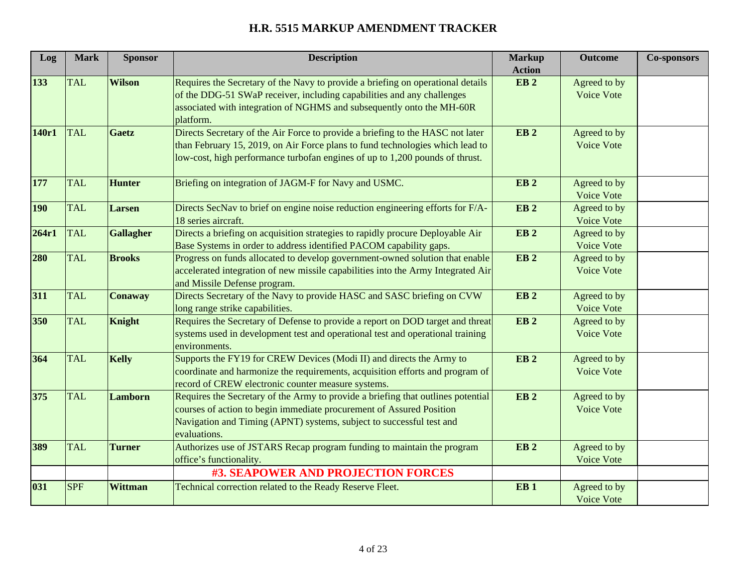| Log        | <b>Mark</b> | <b>Sponsor</b>   | <b>Description</b>                                                               | <b>Markup</b>                    | <b>Outcome</b> | <b>Co-sponsors</b> |
|------------|-------------|------------------|----------------------------------------------------------------------------------|----------------------------------|----------------|--------------------|
| 133        | <b>TAL</b>  | <b>Wilson</b>    | Requires the Secretary of the Navy to provide a briefing on operational details  | <b>Action</b><br>EB <sub>2</sub> | Agreed to by   |                    |
|            |             |                  | of the DDG-51 SWaP receiver, including capabilities and any challenges           |                                  | Voice Vote     |                    |
|            |             |                  | associated with integration of NGHMS and subsequently onto the MH-60R            |                                  |                |                    |
|            |             |                  | platform.                                                                        |                                  |                |                    |
| 140r1      | <b>TAL</b>  | Gaetz            | Directs Secretary of the Air Force to provide a briefing to the HASC not later   | EB <sub>2</sub>                  | Agreed to by   |                    |
|            |             |                  | than February 15, 2019, on Air Force plans to fund technologies which lead to    |                                  | Voice Vote     |                    |
|            |             |                  | low-cost, high performance turbofan engines of up to 1,200 pounds of thrust.     |                                  |                |                    |
| 177        | <b>TAL</b>  | <b>Hunter</b>    | Briefing on integration of JAGM-F for Navy and USMC.                             | EB <sub>2</sub>                  | Agreed to by   |                    |
|            |             |                  |                                                                                  |                                  | Voice Vote     |                    |
| <b>190</b> | <b>TAL</b>  | Larsen           | Directs SecNav to brief on engine noise reduction engineering efforts for F/A-   | EB <sub>2</sub>                  | Agreed to by   |                    |
|            |             |                  | 18 series aircraft.                                                              |                                  | Voice Vote     |                    |
| 264r1      | <b>TAL</b>  | <b>Gallagher</b> | Directs a briefing on acquisition strategies to rapidly procure Deployable Air   | EB <sub>2</sub>                  | Agreed to by   |                    |
|            |             |                  | Base Systems in order to address identified PACOM capability gaps.               |                                  | Voice Vote     |                    |
| 280        | <b>TAL</b>  | <b>Brooks</b>    | Progress on funds allocated to develop government-owned solution that enable     | EB <sub>2</sub>                  | Agreed to by   |                    |
|            |             |                  | accelerated integration of new missile capabilities into the Army Integrated Air |                                  | Voice Vote     |                    |
|            |             |                  | and Missile Defense program.                                                     |                                  |                |                    |
| 311        | <b>TAL</b>  | <b>Conaway</b>   | Directs Secretary of the Navy to provide HASC and SASC briefing on CVW           | EB <sub>2</sub>                  | Agreed to by   |                    |
|            |             |                  | long range strike capabilities.                                                  |                                  | Voice Vote     |                    |
| 350        | <b>TAL</b>  | Knight           | Requires the Secretary of Defense to provide a report on DOD target and threat   | EB <sub>2</sub>                  | Agreed to by   |                    |
|            |             |                  | systems used in development test and operational test and operational training   |                                  | Voice Vote     |                    |
|            |             |                  | environments.                                                                    |                                  |                |                    |
| 364        | <b>TAL</b>  | <b>Kelly</b>     | Supports the FY19 for CREW Devices (Modi II) and directs the Army to             | <b>EB2</b>                       | Agreed to by   |                    |
|            |             |                  | coordinate and harmonize the requirements, acquisition efforts and program of    |                                  | Voice Vote     |                    |
|            |             |                  | record of CREW electronic counter measure systems.                               |                                  |                |                    |
| 375        | <b>TAL</b>  | Lamborn          | Requires the Secretary of the Army to provide a briefing that outlines potential | EB <sub>2</sub>                  | Agreed to by   |                    |
|            |             |                  | courses of action to begin immediate procurement of Assured Position             |                                  | Voice Vote     |                    |
|            |             |                  | Navigation and Timing (APNT) systems, subject to successful test and             |                                  |                |                    |
|            |             |                  | evaluations.                                                                     |                                  |                |                    |
| 389        | <b>TAL</b>  | <b>Turner</b>    | Authorizes use of JSTARS Recap program funding to maintain the program           | EB <sub>2</sub>                  | Agreed to by   |                    |
|            |             |                  | office's functionality.                                                          |                                  | Voice Vote     |                    |
|            |             |                  | #3. SEAPOWER AND PROJECTION FORCES                                               |                                  |                |                    |
| 031        | <b>SPF</b>  | <b>Wittman</b>   | Technical correction related to the Ready Reserve Fleet.                         | EB <sub>1</sub>                  | Agreed to by   |                    |
|            |             |                  |                                                                                  |                                  | Voice Vote     |                    |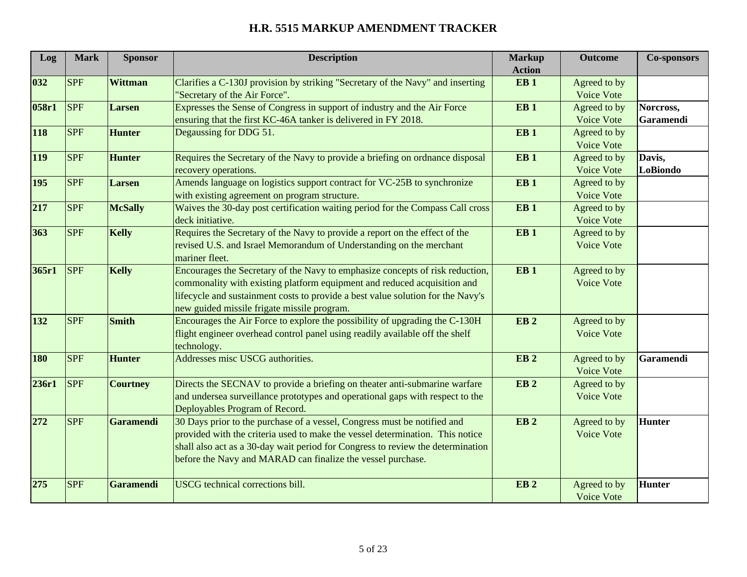| Log   | <b>Mark</b> | <b>Sponsor</b>   | <b>Description</b>                                                              | <b>Markup</b>   | <b>Outcome</b>    | <b>Co-sponsors</b> |
|-------|-------------|------------------|---------------------------------------------------------------------------------|-----------------|-------------------|--------------------|
|       |             |                  |                                                                                 | <b>Action</b>   |                   |                    |
| 032   | <b>SPF</b>  | <b>Wittman</b>   | Clarifies a C-130J provision by striking "Secretary of the Navy" and inserting  | EB <sub>1</sub> | Agreed to by      |                    |
|       |             |                  | 'Secretary of the Air Force".                                                   |                 | Voice Vote        |                    |
| 058r1 | <b>SPF</b>  | Larsen           | Expresses the Sense of Congress in support of industry and the Air Force        | EB <sub>1</sub> | Agreed to by      | Norcross,          |
|       |             |                  | ensuring that the first KC-46A tanker is delivered in FY 2018.                  |                 | Voice Vote        | Garamendi          |
| 118   | <b>SPF</b>  | <b>Hunter</b>    | Degaussing for DDG 51.                                                          | EB <sub>1</sub> | Agreed to by      |                    |
|       |             |                  |                                                                                 |                 | Voice Vote        |                    |
| 119   | <b>SPF</b>  | <b>Hunter</b>    | Requires the Secretary of the Navy to provide a briefing on ordnance disposal   | EB <sub>1</sub> | Agreed to by      | Davis,             |
|       |             |                  | recovery operations.                                                            |                 | Voice Vote        | LoBiondo           |
| 195   | <b>SPF</b>  | <b>Larsen</b>    | Amends language on logistics support contract for VC-25B to synchronize         | EB <sub>1</sub> | Agreed to by      |                    |
|       |             |                  | with existing agreement on program structure.                                   |                 | Voice Vote        |                    |
| 217   | <b>SPF</b>  | <b>McSally</b>   | Waives the 30-day post certification waiting period for the Compass Call cross  | EB <sub>1</sub> | Agreed to by      |                    |
|       |             |                  | deck initiative.                                                                |                 | Voice Vote        |                    |
| 363   | <b>SPF</b>  | <b>Kelly</b>     | Requires the Secretary of the Navy to provide a report on the effect of the     | EB <sub>1</sub> | Agreed to by      |                    |
|       |             |                  | revised U.S. and Israel Memorandum of Understanding on the merchant             |                 | Voice Vote        |                    |
|       |             |                  | mariner fleet.                                                                  |                 |                   |                    |
| 365r1 | <b>SPF</b>  | <b>Kelly</b>     | Encourages the Secretary of the Navy to emphasize concepts of risk reduction,   | EB <sub>1</sub> | Agreed to by      |                    |
|       |             |                  | commonality with existing platform equipment and reduced acquisition and        |                 | <b>Voice Vote</b> |                    |
|       |             |                  | lifecycle and sustainment costs to provide a best value solution for the Navy's |                 |                   |                    |
|       |             |                  | new guided missile frigate missile program.                                     |                 |                   |                    |
| 132   | <b>SPF</b>  | <b>Smith</b>     | Encourages the Air Force to explore the possibility of upgrading the C-130H     | EB <sub>2</sub> | Agreed to by      |                    |
|       |             |                  | flight engineer overhead control panel using readily available off the shelf    |                 | Voice Vote        |                    |
|       |             |                  | technology.                                                                     |                 |                   |                    |
| 180   | <b>SPF</b>  | <b>Hunter</b>    | Addresses misc USCG authorities.                                                | EB <sub>2</sub> | Agreed to by      | Garamendi          |
|       |             |                  |                                                                                 |                 | Voice Vote        |                    |
| 236r1 | <b>SPF</b>  | <b>Courtney</b>  | Directs the SECNAV to provide a briefing on theater anti-submarine warfare      | EB <sub>2</sub> | Agreed to by      |                    |
|       |             |                  | and undersea surveillance prototypes and operational gaps with respect to the   |                 | <b>Voice Vote</b> |                    |
|       |             |                  | Deployables Program of Record.                                                  |                 |                   |                    |
| 272   | <b>SPF</b>  | Garamendi        | 30 Days prior to the purchase of a vessel, Congress must be notified and        | EB <sub>2</sub> | Agreed to by      | <b>Hunter</b>      |
|       |             |                  | provided with the criteria used to make the vessel determination. This notice   |                 | <b>Voice Vote</b> |                    |
|       |             |                  | shall also act as a 30-day wait period for Congress to review the determination |                 |                   |                    |
|       |             |                  | before the Navy and MARAD can finalize the vessel purchase.                     |                 |                   |                    |
|       |             |                  |                                                                                 |                 |                   |                    |
| 275   | <b>SPF</b>  | <b>Garamendi</b> | USCG technical corrections bill.                                                | EB <sub>2</sub> | Agreed to by      | <b>Hunter</b>      |
|       |             |                  |                                                                                 |                 | Voice Vote        |                    |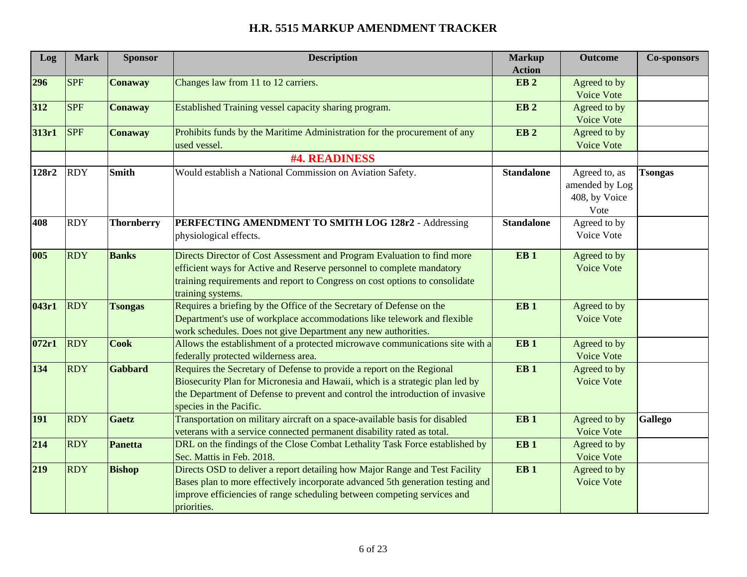| Log   | <b>Mark</b> | <b>Sponsor</b>    | <b>Description</b>                                                             | <b>Markup</b>     | <b>Outcome</b> | <b>Co-sponsors</b> |
|-------|-------------|-------------------|--------------------------------------------------------------------------------|-------------------|----------------|--------------------|
|       |             |                   |                                                                                | <b>Action</b>     |                |                    |
| 296   | <b>SPF</b>  | <b>Conaway</b>    | Changes law from 11 to 12 carriers.                                            | EB <sub>2</sub>   | Agreed to by   |                    |
|       |             |                   |                                                                                |                   | Voice Vote     |                    |
| 312   | <b>SPF</b>  | <b>Conaway</b>    | Established Training vessel capacity sharing program.                          | EB <sub>2</sub>   | Agreed to by   |                    |
|       |             |                   |                                                                                |                   | Voice Vote     |                    |
| 313r1 | <b>SPF</b>  | <b>Conaway</b>    | Prohibits funds by the Maritime Administration for the procurement of any      | EB <sub>2</sub>   | Agreed to by   |                    |
|       |             |                   | used vessel.                                                                   |                   | Voice Vote     |                    |
|       |             |                   | #4. READINESS                                                                  |                   |                |                    |
| 128r2 | <b>RDY</b>  | <b>Smith</b>      | Would establish a National Commission on Aviation Safety.                      | <b>Standalone</b> | Agreed to, as  | <b>Tsongas</b>     |
|       |             |                   |                                                                                |                   | amended by Log |                    |
|       |             |                   |                                                                                |                   | 408, by Voice  |                    |
|       |             |                   |                                                                                |                   | Vote           |                    |
| 408   | <b>RDY</b>  | <b>Thornberry</b> | PERFECTING AMENDMENT TO SMITH LOG 128r2 - Addressing                           | <b>Standalone</b> | Agreed to by   |                    |
|       |             |                   | physiological effects.                                                         |                   | Voice Vote     |                    |
|       |             |                   |                                                                                |                   |                |                    |
| 005   | <b>RDY</b>  | <b>Banks</b>      | Directs Director of Cost Assessment and Program Evaluation to find more        | EB <sub>1</sub>   | Agreed to by   |                    |
|       |             |                   | efficient ways for Active and Reserve personnel to complete mandatory          |                   | Voice Vote     |                    |
|       |             |                   | training requirements and report to Congress on cost options to consolidate    |                   |                |                    |
|       |             |                   | training systems.                                                              |                   |                |                    |
| 043r1 | <b>RDY</b>  | <b>Tsongas</b>    | Requires a briefing by the Office of the Secretary of Defense on the           | EB <sub>1</sub>   | Agreed to by   |                    |
|       |             |                   | Department's use of workplace accommodations like telework and flexible        |                   | Voice Vote     |                    |
|       |             |                   | work schedules. Does not give Department any new authorities.                  |                   |                |                    |
| 072r1 | <b>RDY</b>  | <b>Cook</b>       | Allows the establishment of a protected microwave communications site with a   | EB <sub>1</sub>   | Agreed to by   |                    |
|       |             |                   | federally protected wilderness area.                                           |                   | Voice Vote     |                    |
| 134   | <b>RDY</b>  | Gabbard           | Requires the Secretary of Defense to provide a report on the Regional          | EB <sub>1</sub>   | Agreed to by   |                    |
|       |             |                   | Biosecurity Plan for Micronesia and Hawaii, which is a strategic plan led by   |                   | Voice Vote     |                    |
|       |             |                   | the Department of Defense to prevent and control the introduction of invasive  |                   |                |                    |
|       |             |                   | species in the Pacific.                                                        |                   |                |                    |
| 191   | <b>RDY</b>  | <b>Gaetz</b>      | Transportation on military aircraft on a space-available basis for disabled    | EB <sub>1</sub>   | Agreed to by   | <b>Gallego</b>     |
|       |             |                   | veterans with a service connected permanent disability rated as total.         |                   | Voice Vote     |                    |
| 214   | <b>RDY</b>  | <b>Panetta</b>    | DRL on the findings of the Close Combat Lethality Task Force established by    | EB <sub>1</sub>   | Agreed to by   |                    |
|       |             |                   | Sec. Mattis in Feb. 2018.                                                      |                   | Voice Vote     |                    |
| 219   | <b>RDY</b>  | <b>Bishop</b>     | Directs OSD to deliver a report detailing how Major Range and Test Facility    | EB <sub>1</sub>   | Agreed to by   |                    |
|       |             |                   | Bases plan to more effectively incorporate advanced 5th generation testing and |                   | Voice Vote     |                    |
|       |             |                   | improve efficiencies of range scheduling between competing services and        |                   |                |                    |
|       |             |                   | priorities.                                                                    |                   |                |                    |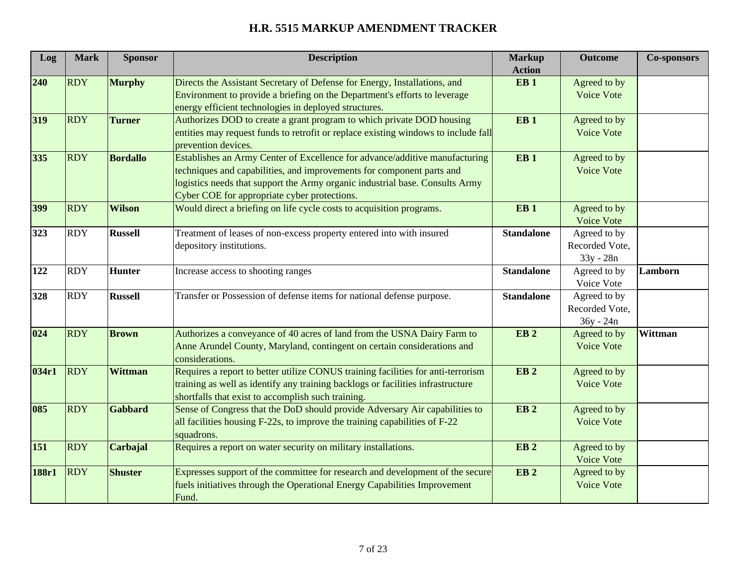| Log   | <b>Mark</b> | <b>Sponsor</b>  | <b>Description</b>                                                                 | <b>Markup</b>                    | <b>Outcome</b>    | <b>Co-sponsors</b> |
|-------|-------------|-----------------|------------------------------------------------------------------------------------|----------------------------------|-------------------|--------------------|
| 240   | <b>RDY</b>  | <b>Murphy</b>   | Directs the Assistant Secretary of Defense for Energy, Installations, and          | <b>Action</b><br>EB <sub>1</sub> | Agreed to by      |                    |
|       |             |                 | Environment to provide a briefing on the Department's efforts to leverage          |                                  | Voice Vote        |                    |
|       |             |                 | energy efficient technologies in deployed structures.                              |                                  |                   |                    |
| 319   | <b>RDY</b>  | <b>Turner</b>   | Authorizes DOD to create a grant program to which private DOD housing              | EB <sub>1</sub>                  | Agreed to by      |                    |
|       |             |                 | entities may request funds to retrofit or replace existing windows to include fall |                                  | <b>Voice Vote</b> |                    |
|       |             |                 | prevention devices.                                                                |                                  |                   |                    |
| 335   | <b>RDY</b>  | <b>Bordallo</b> | Establishes an Army Center of Excellence for advance/additive manufacturing        | EB <sub>1</sub>                  | Agreed to by      |                    |
|       |             |                 | techniques and capabilities, and improvements for component parts and              |                                  | Voice Vote        |                    |
|       |             |                 | logistics needs that support the Army organic industrial base. Consults Army       |                                  |                   |                    |
|       |             |                 | Cyber COE for appropriate cyber protections.                                       |                                  |                   |                    |
| 399   | <b>RDY</b>  | <b>Wilson</b>   | Would direct a briefing on life cycle costs to acquisition programs.               | EB <sub>1</sub>                  | Agreed to by      |                    |
|       |             |                 |                                                                                    |                                  | Voice Vote        |                    |
| 323   | <b>RDY</b>  | <b>Russell</b>  | Treatment of leases of non-excess property entered into with insured               | <b>Standalone</b>                | Agreed to by      |                    |
|       |             |                 | depository institutions.                                                           |                                  | Recorded Vote,    |                    |
|       |             |                 |                                                                                    |                                  | 33y - 28n         |                    |
| 122   | <b>RDY</b>  | <b>Hunter</b>   | Increase access to shooting ranges                                                 | <b>Standalone</b>                | Agreed to by      | Lamborn            |
|       |             |                 |                                                                                    |                                  | Voice Vote        |                    |
| 328   | <b>RDY</b>  | <b>Russell</b>  | Transfer or Possession of defense items for national defense purpose.              | <b>Standalone</b>                | Agreed to by      |                    |
|       |             |                 |                                                                                    |                                  | Recorded Vote,    |                    |
|       |             |                 |                                                                                    |                                  | 36y - 24n         |                    |
| 024   | <b>RDY</b>  | <b>Brown</b>    | Authorizes a conveyance of 40 acres of land from the USNA Dairy Farm to            | EB <sub>2</sub>                  | Agreed to by      | Wittman            |
|       |             |                 | Anne Arundel County, Maryland, contingent on certain considerations and            |                                  | <b>Voice Vote</b> |                    |
|       |             |                 | considerations.                                                                    |                                  |                   |                    |
| 034r1 | <b>RDY</b>  | <b>Wittman</b>  | Requires a report to better utilize CONUS training facilities for anti-terrorism   | EB <sub>2</sub>                  | Agreed to by      |                    |
|       |             |                 | training as well as identify any training backlogs or facilities infrastructure    |                                  | Voice Vote        |                    |
|       |             |                 | shortfalls that exist to accomplish such training.                                 |                                  |                   |                    |
| 085   | <b>RDY</b>  | <b>Gabbard</b>  | Sense of Congress that the DoD should provide Adversary Air capabilities to        | EB <sub>2</sub>                  | Agreed to by      |                    |
|       |             |                 | all facilities housing F-22s, to improve the training capabilities of F-22         |                                  | <b>Voice Vote</b> |                    |
|       |             |                 | squadrons.                                                                         |                                  |                   |                    |
| 151   | <b>RDY</b>  | Carbajal        | Requires a report on water security on military installations.                     | EB <sub>2</sub>                  | Agreed to by      |                    |
|       |             |                 |                                                                                    |                                  | <b>Voice Vote</b> |                    |
| 188r1 | <b>RDY</b>  | <b>Shuster</b>  | Expresses support of the committee for research and development of the secure      | EB <sub>2</sub>                  | Agreed to by      |                    |
|       |             |                 | fuels initiatives through the Operational Energy Capabilities Improvement          |                                  | <b>Voice Vote</b> |                    |
|       |             |                 | Fund.                                                                              |                                  |                   |                    |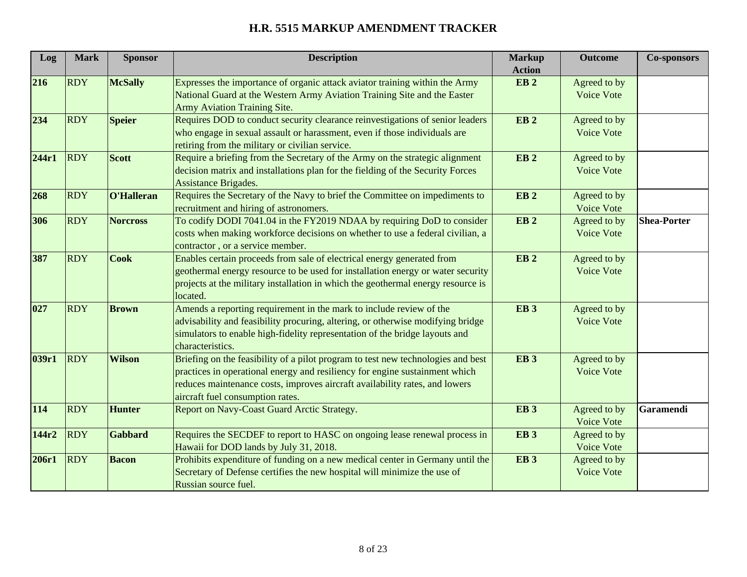| Log   | <b>Mark</b> | <b>Sponsor</b>  | <b>Description</b>                                                               | <b>Markup</b><br><b>Action</b> | <b>Outcome</b>    | <b>Co-sponsors</b> |
|-------|-------------|-----------------|----------------------------------------------------------------------------------|--------------------------------|-------------------|--------------------|
| 216   | <b>RDY</b>  | <b>McSally</b>  | Expresses the importance of organic attack aviator training within the Army      | EB <sub>2</sub>                | Agreed to by      |                    |
|       |             |                 | National Guard at the Western Army Aviation Training Site and the Easter         |                                | Voice Vote        |                    |
|       |             |                 | <b>Army Aviation Training Site.</b>                                              |                                |                   |                    |
| 234   | <b>RDY</b>  | <b>Speier</b>   | Requires DOD to conduct security clearance reinvestigations of senior leaders    | EB <sub>2</sub>                | Agreed to by      |                    |
|       |             |                 | who engage in sexual assault or harassment, even if those individuals are        |                                | <b>Voice Vote</b> |                    |
|       |             |                 | retiring from the military or civilian service.                                  |                                |                   |                    |
| 244r1 | <b>RDY</b>  | <b>Scott</b>    | Require a briefing from the Secretary of the Army on the strategic alignment     | EB <sub>2</sub>                | Agreed to by      |                    |
|       |             |                 | decision matrix and installations plan for the fielding of the Security Forces   |                                | Voice Vote        |                    |
|       |             |                 | Assistance Brigades.                                                             |                                |                   |                    |
| 268   | <b>RDY</b>  | O'Halleran      | Requires the Secretary of the Navy to brief the Committee on impediments to      | EB <sub>2</sub>                | Agreed to by      |                    |
|       |             |                 | recruitment and hiring of astronomers.                                           |                                | Voice Vote        |                    |
| 306   | <b>RDY</b>  | <b>Norcross</b> | To codify DODI 7041.04 in the FY2019 NDAA by requiring DoD to consider           | EB <sub>2</sub>                | Agreed to by      | <b>Shea-Porter</b> |
|       |             |                 | costs when making workforce decisions on whether to use a federal civilian, a    |                                | Voice Vote        |                    |
|       |             |                 | contractor, or a service member.                                                 |                                |                   |                    |
| 387   | <b>RDY</b>  | <b>Cook</b>     | Enables certain proceeds from sale of electrical energy generated from           | EB <sub>2</sub>                | Agreed to by      |                    |
|       |             |                 | geothermal energy resource to be used for installation energy or water security  |                                | <b>Voice Vote</b> |                    |
|       |             |                 | projects at the military installation in which the geothermal energy resource is |                                |                   |                    |
|       |             |                 | located.                                                                         |                                |                   |                    |
| 027   | <b>RDY</b>  | <b>Brown</b>    | Amends a reporting requirement in the mark to include review of the              | EB <sub>3</sub>                | Agreed to by      |                    |
|       |             |                 | advisability and feasibility procuring, altering, or otherwise modifying bridge  |                                | Voice Vote        |                    |
|       |             |                 | simulators to enable high-fidelity representation of the bridge layouts and      |                                |                   |                    |
|       |             |                 | characteristics.                                                                 |                                |                   |                    |
| 039r1 | <b>RDY</b>  | <b>Wilson</b>   | Briefing on the feasibility of a pilot program to test new technologies and best | EB <sub>3</sub>                | Agreed to by      |                    |
|       |             |                 | practices in operational energy and resiliency for engine sustainment which      |                                | Voice Vote        |                    |
|       |             |                 | reduces maintenance costs, improves aircraft availability rates, and lowers      |                                |                   |                    |
|       |             |                 | aircraft fuel consumption rates.                                                 |                                |                   |                    |
| 114   | <b>RDY</b>  | <b>Hunter</b>   | Report on Navy-Coast Guard Arctic Strategy.                                      | EB <sub>3</sub>                | Agreed to by      | <b>Garamendi</b>   |
|       |             |                 |                                                                                  |                                | <b>Voice Vote</b> |                    |
| 144r2 | <b>RDY</b>  | <b>Gabbard</b>  | Requires the SECDEF to report to HASC on ongoing lease renewal process in        | EB <sub>3</sub>                | Agreed to by      |                    |
|       |             |                 | Hawaii for DOD lands by July 31, 2018.                                           |                                | Voice Vote        |                    |
| 206r1 | <b>RDY</b>  | <b>Bacon</b>    | Prohibits expenditure of funding on a new medical center in Germany until the    | EB <sub>3</sub>                | Agreed to by      |                    |
|       |             |                 | Secretary of Defense certifies the new hospital will minimize the use of         |                                | Voice Vote        |                    |
|       |             |                 | Russian source fuel.                                                             |                                |                   |                    |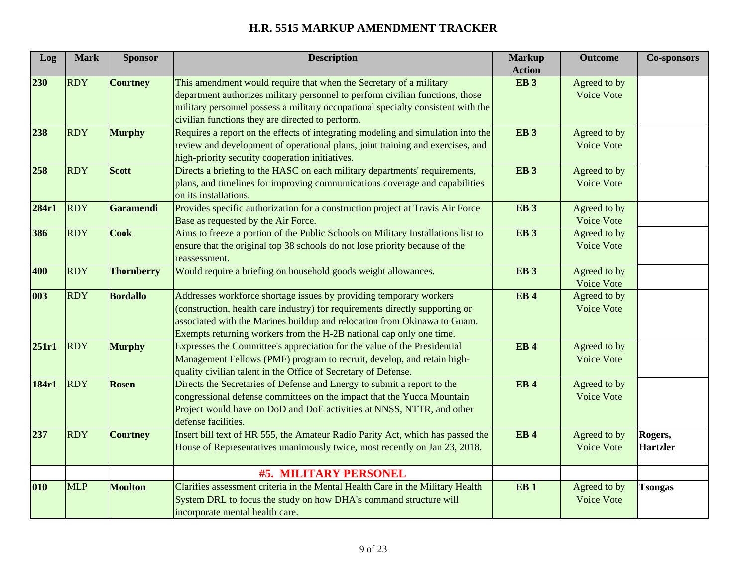| Log   | <b>Mark</b> | <b>Sponsor</b>    | <b>Description</b>                                                               | <b>Markup</b><br><b>Action</b> | <b>Outcome</b>    | <b>Co-sponsors</b> |
|-------|-------------|-------------------|----------------------------------------------------------------------------------|--------------------------------|-------------------|--------------------|
| 230   | <b>RDY</b>  | <b>Courtney</b>   | This amendment would require that when the Secretary of a military               | EB <sub>3</sub>                | Agreed to by      |                    |
|       |             |                   | department authorizes military personnel to perform civilian functions, those    |                                | Voice Vote        |                    |
|       |             |                   | military personnel possess a military occupational specialty consistent with the |                                |                   |                    |
|       |             |                   | civilian functions they are directed to perform.                                 |                                |                   |                    |
| 238   | <b>RDY</b>  | <b>Murphy</b>     | Requires a report on the effects of integrating modeling and simulation into the | EB <sub>3</sub>                | Agreed to by      |                    |
|       |             |                   | review and development of operational plans, joint training and exercises, and   |                                | <b>Voice Vote</b> |                    |
|       |             |                   | high-priority security cooperation initiatives.                                  |                                |                   |                    |
| 258   | <b>RDY</b>  | <b>Scott</b>      | Directs a briefing to the HASC on each military departments' requirements,       | EB <sub>3</sub>                | Agreed to by      |                    |
|       |             |                   | plans, and timelines for improving communications coverage and capabilities      |                                | Voice Vote        |                    |
|       |             |                   | on its installations.                                                            |                                |                   |                    |
| 284r1 | <b>RDY</b>  | <b>Garamendi</b>  | Provides specific authorization for a construction project at Travis Air Force   | EB <sub>3</sub>                | Agreed to by      |                    |
|       |             |                   | Base as requested by the Air Force.                                              |                                | Voice Vote        |                    |
| 386   | <b>RDY</b>  | <b>Cook</b>       | Aims to freeze a portion of the Public Schools on Military Installations list to | EB <sub>3</sub>                | Agreed to by      |                    |
|       |             |                   | ensure that the original top 38 schools do not lose priority because of the      |                                | Voice Vote        |                    |
|       |             |                   | reassessment.                                                                    |                                |                   |                    |
| 400   | <b>RDY</b>  | <b>Thornberry</b> | Would require a briefing on household goods weight allowances.                   | EB <sub>3</sub>                | Agreed to by      |                    |
|       |             |                   |                                                                                  |                                | Voice Vote        |                    |
| 003   | <b>RDY</b>  | <b>Bordallo</b>   | Addresses workforce shortage issues by providing temporary workers               | <b>EB4</b>                     | Agreed to by      |                    |
|       |             |                   | (construction, health care industry) for requirements directly supporting or     |                                | Voice Vote        |                    |
|       |             |                   | associated with the Marines buildup and relocation from Okinawa to Guam.         |                                |                   |                    |
|       |             |                   | Exempts returning workers from the H-2B national cap only one time.              |                                |                   |                    |
| 251r1 | <b>RDY</b>  | <b>Murphy</b>     | Expresses the Committee's appreciation for the value of the Presidential         | <b>EB4</b>                     | Agreed to by      |                    |
|       |             |                   | Management Fellows (PMF) program to recruit, develop, and retain high-           |                                | Voice Vote        |                    |
|       |             |                   | quality civilian talent in the Office of Secretary of Defense.                   |                                |                   |                    |
| 184r1 | <b>RDY</b>  | <b>Rosen</b>      | Directs the Secretaries of Defense and Energy to submit a report to the          | <b>EB4</b>                     | Agreed to by      |                    |
|       |             |                   | congressional defense committees on the impact that the Yucca Mountain           |                                | Voice Vote        |                    |
|       |             |                   | Project would have on DoD and DoE activities at NNSS, NTTR, and other            |                                |                   |                    |
|       |             |                   | defense facilities.                                                              |                                |                   |                    |
| 237   | <b>RDY</b>  | <b>Courtney</b>   | Insert bill text of HR 555, the Amateur Radio Parity Act, which has passed the   | <b>EB4</b>                     | Agreed to by      | Rogers,            |
|       |             |                   | House of Representatives unanimously twice, most recently on Jan 23, 2018.       |                                | Voice Vote        | <b>Hartzler</b>    |
|       |             |                   |                                                                                  |                                |                   |                    |
|       |             |                   | <b>#5. MILITARY PERSONEL</b>                                                     |                                |                   |                    |
| 010   | <b>MLP</b>  | <b>Moulton</b>    | Clarifies assessment criteria in the Mental Health Care in the Military Health   | EB <sub>1</sub>                | Agreed to by      | <b>Tsongas</b>     |
|       |             |                   | System DRL to focus the study on how DHA's command structure will                |                                | Voice Vote        |                    |
|       |             |                   | incorporate mental health care.                                                  |                                |                   |                    |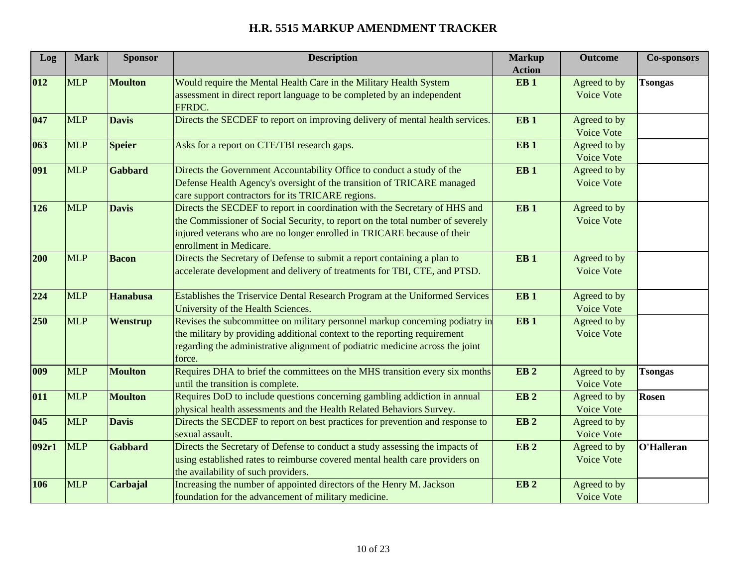| Log   | <b>Mark</b> | <b>Sponsor</b>  | <b>Description</b>                                                               | <b>Markup</b>   | <b>Outcome</b>    | <b>Co-sponsors</b> |
|-------|-------------|-----------------|----------------------------------------------------------------------------------|-----------------|-------------------|--------------------|
|       |             |                 |                                                                                  | <b>Action</b>   |                   |                    |
| 012   | <b>MLP</b>  | <b>Moulton</b>  | Would require the Mental Health Care in the Military Health System               | EB <sub>1</sub> | Agreed to by      | <b>Tsongas</b>     |
|       |             |                 | assessment in direct report language to be completed by an independent<br>FFRDC. |                 | <b>Voice Vote</b> |                    |
| 047   | <b>MLP</b>  | <b>Davis</b>    | Directs the SECDEF to report on improving delivery of mental health services.    | EB <sub>1</sub> | Agreed to by      |                    |
|       |             |                 |                                                                                  |                 | Voice Vote        |                    |
| 063   | <b>MLP</b>  | <b>Speier</b>   | Asks for a report on CTE/TBI research gaps.                                      | EB <sub>1</sub> | Agreed to by      |                    |
|       |             |                 |                                                                                  |                 | Voice Vote        |                    |
| 091   | <b>MLP</b>  | <b>Gabbard</b>  | Directs the Government Accountability Office to conduct a study of the           | EB <sub>1</sub> | Agreed to by      |                    |
|       |             |                 | Defense Health Agency's oversight of the transition of TRICARE managed           |                 | Voice Vote        |                    |
|       |             |                 | care support contractors for its TRICARE regions.                                |                 |                   |                    |
| 126   | <b>MLP</b>  | <b>Davis</b>    | Directs the SECDEF to report in coordination with the Secretary of HHS and       | EB <sub>1</sub> | Agreed to by      |                    |
|       |             |                 | the Commissioner of Social Security, to report on the total number of severely   |                 | <b>Voice Vote</b> |                    |
|       |             |                 | injured veterans who are no longer enrolled in TRICARE because of their          |                 |                   |                    |
|       |             |                 | enrollment in Medicare.                                                          |                 |                   |                    |
| 200   | <b>MLP</b>  | <b>Bacon</b>    | Directs the Secretary of Defense to submit a report containing a plan to         | EB <sub>1</sub> | Agreed to by      |                    |
|       |             |                 | accelerate development and delivery of treatments for TBI, CTE, and PTSD.        |                 | Voice Vote        |                    |
|       |             |                 |                                                                                  |                 |                   |                    |
| 224   | <b>MLP</b>  | <b>Hanabusa</b> | Establishes the Triservice Dental Research Program at the Uniformed Services     | EB <sub>1</sub> | Agreed to by      |                    |
|       |             |                 | University of the Health Sciences.                                               |                 | Voice Vote        |                    |
| 250   | <b>MLP</b>  | Wenstrup        | Revises the subcommittee on military personnel markup concerning podiatry in     | EB <sub>1</sub> | Agreed to by      |                    |
|       |             |                 | the military by providing additional context to the reporting requirement        |                 | Voice Vote        |                    |
|       |             |                 | regarding the administrative alignment of podiatric medicine across the joint    |                 |                   |                    |
|       |             |                 | force.                                                                           |                 |                   |                    |
| 009   | <b>MLP</b>  | <b>Moulton</b>  | Requires DHA to brief the committees on the MHS transition every six months      | EB <sub>2</sub> | Agreed to by      | <b>Tsongas</b>     |
|       |             |                 | until the transition is complete.                                                |                 | <b>Voice Vote</b> |                    |
| 011   | <b>MLP</b>  | <b>Moulton</b>  | Requires DoD to include questions concerning gambling addiction in annual        | EB <sub>2</sub> | Agreed to by      | <b>Rosen</b>       |
|       |             |                 | physical health assessments and the Health Related Behaviors Survey.             |                 | Voice Vote        |                    |
| 045   | <b>MLP</b>  | <b>Davis</b>    | Directs the SECDEF to report on best practices for prevention and response to    | EB <sub>2</sub> | Agreed to by      |                    |
|       |             |                 | sexual assault.                                                                  |                 | Voice Vote        |                    |
| 092r1 | <b>MLP</b>  | <b>Gabbard</b>  | Directs the Secretary of Defense to conduct a study assessing the impacts of     | EB <sub>2</sub> | Agreed to by      | O'Halleran         |
|       |             |                 | using established rates to reimburse covered mental health care providers on     |                 | Voice Vote        |                    |
|       |             |                 | the availability of such providers.                                              |                 |                   |                    |
| 106   | <b>MLP</b>  | Carbajal        | Increasing the number of appointed directors of the Henry M. Jackson             | EB <sub>2</sub> | Agreed to by      |                    |
|       |             |                 | foundation for the advancement of military medicine.                             |                 | <b>Voice Vote</b> |                    |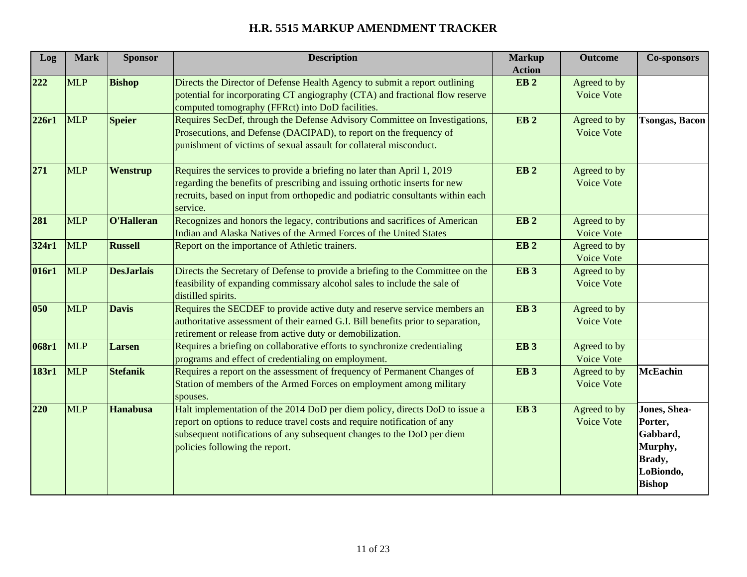| Log   | <b>Mark</b> | <b>Sponsor</b>    | <b>Description</b>                                                                                                                                                                                                                                                  | <b>Markup</b><br><b>Action</b> | <b>Outcome</b>                    | <b>Co-sponsors</b>                                                                             |
|-------|-------------|-------------------|---------------------------------------------------------------------------------------------------------------------------------------------------------------------------------------------------------------------------------------------------------------------|--------------------------------|-----------------------------------|------------------------------------------------------------------------------------------------|
| 222   | <b>MLP</b>  | <b>Bishop</b>     | Directs the Director of Defense Health Agency to submit a report outlining<br>potential for incorporating CT angiography (CTA) and fractional flow reserve<br>computed tomography (FFRct) into DoD facilities.                                                      | EB <sub>2</sub>                | Agreed to by<br>Voice Vote        |                                                                                                |
| 226r1 | <b>MLP</b>  | <b>Speier</b>     | Requires SecDef, through the Defense Advisory Committee on Investigations,<br>Prosecutions, and Defense (DACIPAD), to report on the frequency of<br>punishment of victims of sexual assault for collateral misconduct.                                              | EB <sub>2</sub>                | Agreed to by<br>Voice Vote        | <b>Tsongas, Bacon</b>                                                                          |
| 271   | <b>MLP</b>  | Wenstrup          | Requires the services to provide a briefing no later than April 1, 2019<br>regarding the benefits of prescribing and issuing orthotic inserts for new<br>recruits, based on input from orthopedic and podiatric consultants within each<br>service.                 | EB <sub>2</sub>                | Agreed to by<br>Voice Vote        |                                                                                                |
| 281   | <b>MLP</b>  | O'Halleran        | Recognizes and honors the legacy, contributions and sacrifices of American<br>Indian and Alaska Natives of the Armed Forces of the United States                                                                                                                    | EB <sub>2</sub>                | Agreed to by<br>Voice Vote        |                                                                                                |
| 324r1 | <b>MLP</b>  | <b>Russell</b>    | Report on the importance of Athletic trainers.                                                                                                                                                                                                                      | EB <sub>2</sub>                | Agreed to by<br>Voice Vote        |                                                                                                |
| 016r1 | <b>MLP</b>  | <b>DesJarlais</b> | Directs the Secretary of Defense to provide a briefing to the Committee on the<br>feasibility of expanding commissary alcohol sales to include the sale of<br>distilled spirits.                                                                                    | EB <sub>3</sub>                | Agreed to by<br>Voice Vote        |                                                                                                |
| 050   | <b>MLP</b>  | <b>Davis</b>      | Requires the SECDEF to provide active duty and reserve service members an<br>authoritative assessment of their earned G.I. Bill benefits prior to separation,<br>retirement or release from active duty or demobilization.                                          | <b>EB3</b>                     | Agreed to by<br><b>Voice Vote</b> |                                                                                                |
| 068r1 | <b>MLP</b>  | Larsen            | Requires a briefing on collaborative efforts to synchronize credentialing<br>programs and effect of credentialing on employment.                                                                                                                                    | EB <sub>3</sub>                | Agreed to by<br>Voice Vote        |                                                                                                |
| 183r1 | <b>MLP</b>  | <b>Stefanik</b>   | Requires a report on the assessment of frequency of Permanent Changes of<br>Station of members of the Armed Forces on employment among military<br>spouses.                                                                                                         | EB <sub>3</sub>                | Agreed to by<br>Voice Vote        | <b>McEachin</b>                                                                                |
| 220   | <b>MLP</b>  | <b>Hanabusa</b>   | Halt implementation of the 2014 DoD per diem policy, directs DoD to issue a<br>report on options to reduce travel costs and require notification of any<br>subsequent notifications of any subsequent changes to the DoD per diem<br>policies following the report. | <b>EB3</b>                     | Agreed to by<br>Voice Vote        | Jones, Shea-<br>Porter,<br>Gabbard,<br>Murphy,<br><b>Brady</b> ,<br>LoBiondo,<br><b>Bishop</b> |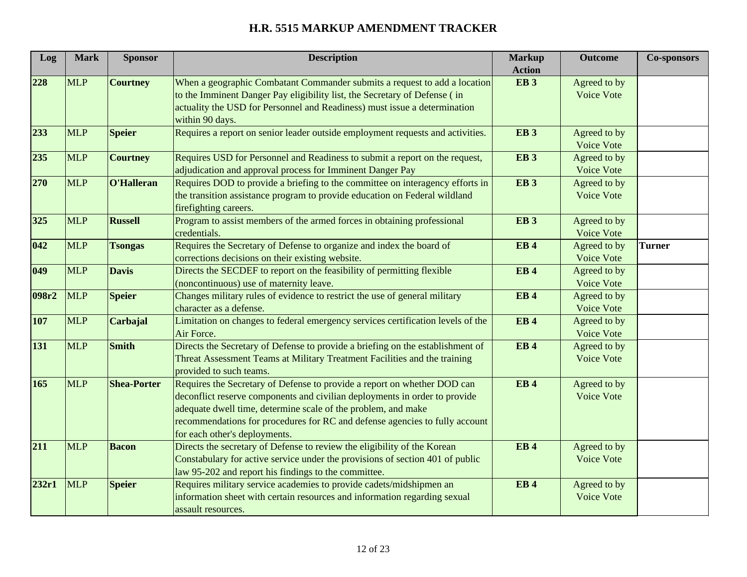| Log   | <b>Mark</b> | <b>Sponsor</b>     | <b>Description</b>                                                                                                                                                                                                                                                                                                                      | <b>Markup</b><br><b>Action</b> | <b>Outcome</b>             | <b>Co-sponsors</b> |
|-------|-------------|--------------------|-----------------------------------------------------------------------------------------------------------------------------------------------------------------------------------------------------------------------------------------------------------------------------------------------------------------------------------------|--------------------------------|----------------------------|--------------------|
| 228   | <b>MLP</b>  | <b>Courtney</b>    | When a geographic Combatant Commander submits a request to add a location<br>to the Imminent Danger Pay eligibility list, the Secretary of Defense (in<br>actuality the USD for Personnel and Readiness) must issue a determination<br>within 90 days.                                                                                  | EB <sub>3</sub>                | Agreed to by<br>Voice Vote |                    |
| 233   | <b>MLP</b>  | <b>Speier</b>      | Requires a report on senior leader outside employment requests and activities.                                                                                                                                                                                                                                                          | EB <sub>3</sub>                | Agreed to by<br>Voice Vote |                    |
| 235   | <b>MLP</b>  | <b>Courtney</b>    | Requires USD for Personnel and Readiness to submit a report on the request,<br>adjudication and approval process for Imminent Danger Pay                                                                                                                                                                                                | EB <sub>3</sub>                | Agreed to by<br>Voice Vote |                    |
| 270   | <b>MLP</b>  | O'Halleran         | Requires DOD to provide a briefing to the committee on interagency efforts in<br>the transition assistance program to provide education on Federal wildland<br>firefighting careers.                                                                                                                                                    | EB <sub>3</sub>                | Agreed to by<br>Voice Vote |                    |
| 325   | <b>MLP</b>  | <b>Russell</b>     | Program to assist members of the armed forces in obtaining professional<br>credentials.                                                                                                                                                                                                                                                 | EB <sub>3</sub>                | Agreed to by<br>Voice Vote |                    |
| 042   | <b>MLP</b>  | <b>Tsongas</b>     | Requires the Secretary of Defense to organize and index the board of<br>corrections decisions on their existing website.                                                                                                                                                                                                                | <b>EB4</b>                     | Agreed to by<br>Voice Vote | <b>Turner</b>      |
| 049   | <b>MLP</b>  | <b>Davis</b>       | Directs the SECDEF to report on the feasibility of permitting flexible<br>(noncontinuous) use of maternity leave.                                                                                                                                                                                                                       | EB <sub>4</sub>                | Agreed to by<br>Voice Vote |                    |
| 098r2 | <b>MLP</b>  | <b>Speier</b>      | Changes military rules of evidence to restrict the use of general military<br>character as a defense.                                                                                                                                                                                                                                   | EB <sub>4</sub>                | Agreed to by<br>Voice Vote |                    |
| 107   | <b>MLP</b>  | Carbajal           | Limitation on changes to federal emergency services certification levels of the<br>Air Force.                                                                                                                                                                                                                                           | <b>EB4</b>                     | Agreed to by<br>Voice Vote |                    |
| 131   | <b>MLP</b>  | <b>Smith</b>       | Directs the Secretary of Defense to provide a briefing on the establishment of<br>Threat Assessment Teams at Military Treatment Facilities and the training<br>provided to such teams.                                                                                                                                                  | <b>EB4</b>                     | Agreed to by<br>Voice Vote |                    |
| 165   | <b>MLP</b>  | <b>Shea-Porter</b> | Requires the Secretary of Defense to provide a report on whether DOD can<br>deconflict reserve components and civilian deployments in order to provide<br>adequate dwell time, determine scale of the problem, and make<br>recommendations for procedures for RC and defense agencies to fully account<br>for each other's deployments. | <b>EB4</b>                     | Agreed to by<br>Voice Vote |                    |
| 211   | <b>MLP</b>  | <b>Bacon</b>       | Directs the secretary of Defense to review the eligibility of the Korean<br>Constabulary for active service under the provisions of section 401 of public<br>law 95-202 and report his findings to the committee.                                                                                                                       | EB <sub>4</sub>                | Agreed to by<br>Voice Vote |                    |
| 232r1 | <b>MLP</b>  | <b>Speier</b>      | Requires military service academies to provide cadets/midshipmen an<br>information sheet with certain resources and information regarding sexual<br>assault resources.                                                                                                                                                                  | EB <sub>4</sub>                | Agreed to by<br>Voice Vote |                    |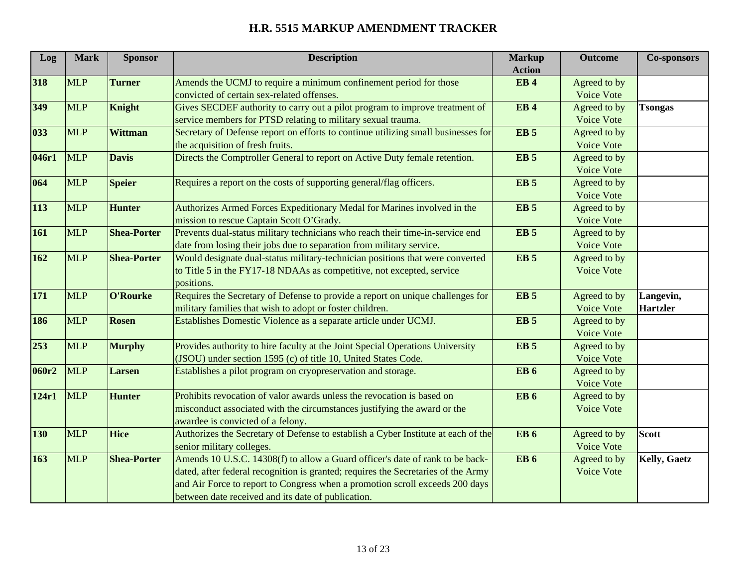| Log   | <b>Mark</b> | <b>Sponsor</b>     | <b>Description</b>                                                                | <b>Markup</b>          | <b>Outcome</b>    | <b>Co-sponsors</b>  |
|-------|-------------|--------------------|-----------------------------------------------------------------------------------|------------------------|-------------------|---------------------|
|       |             |                    |                                                                                   | <b>Action</b>          |                   |                     |
| 318   | <b>MLP</b>  | <b>Turner</b>      | Amends the UCMJ to require a minimum confinement period for those                 | EB <sub>4</sub>        | Agreed to by      |                     |
|       |             |                    | convicted of certain sex-related offenses.                                        |                        | Voice Vote        |                     |
| 349   | <b>MLP</b>  | Knight             | Gives SECDEF authority to carry out a pilot program to improve treatment of       | <b>EB4</b>             | Agreed to by      | <b>Tsongas</b>      |
|       |             |                    | service members for PTSD relating to military sexual trauma.                      |                        | Voice Vote        |                     |
| 033   | <b>MLP</b>  | <b>Wittman</b>     | Secretary of Defense report on efforts to continue utilizing small businesses for | <b>EB</b> <sub>5</sub> | Agreed to by      |                     |
|       |             |                    | the acquisition of fresh fruits.                                                  |                        | Voice Vote        |                     |
| 046r1 | <b>MLP</b>  | <b>Davis</b>       | Directs the Comptroller General to report on Active Duty female retention.        | <b>EB</b> <sub>5</sub> | Agreed to by      |                     |
|       |             |                    |                                                                                   |                        | Voice Vote        |                     |
| 064   | <b>MLP</b>  | <b>Speier</b>      | Requires a report on the costs of supporting general/flag officers.               | <b>EB</b> <sub>5</sub> | Agreed to by      |                     |
|       |             |                    |                                                                                   |                        | Voice Vote        |                     |
| 113   | <b>MLP</b>  | <b>Hunter</b>      | Authorizes Armed Forces Expeditionary Medal for Marines involved in the           | EB <sub>5</sub>        | Agreed to by      |                     |
|       |             |                    | mission to rescue Captain Scott O'Grady.                                          |                        | Voice Vote        |                     |
| 161   | <b>MLP</b>  | <b>Shea-Porter</b> | Prevents dual-status military technicians who reach their time-in-service end     | EB <sub>5</sub>        | Agreed to by      |                     |
|       |             |                    | date from losing their jobs due to separation from military service.              |                        | <b>Voice Vote</b> |                     |
| 162   | <b>MLP</b>  | <b>Shea-Porter</b> | Would designate dual-status military-technician positions that were converted     | <b>EB</b> <sub>5</sub> | Agreed to by      |                     |
|       |             |                    | to Title 5 in the FY17-18 NDAAs as competitive, not excepted, service             |                        | Voice Vote        |                     |
|       |             |                    | positions.                                                                        |                        |                   |                     |
| 171   | <b>MLP</b>  | O'Rourke           | Requires the Secretary of Defense to provide a report on unique challenges for    | EB <sub>5</sub>        | Agreed to by      | Langevin,           |
|       |             |                    | military families that wish to adopt or foster children.                          |                        | Voice Vote        | <b>Hartzler</b>     |
| 186   | <b>MLP</b>  | <b>Rosen</b>       | Establishes Domestic Violence as a separate article under UCMJ.                   | EB <sub>5</sub>        | Agreed to by      |                     |
|       |             |                    |                                                                                   |                        | Voice Vote        |                     |
| 253   | <b>MLP</b>  | <b>Murphy</b>      | Provides authority to hire faculty at the Joint Special Operations University     | <b>EB</b> <sub>5</sub> | Agreed to by      |                     |
|       |             |                    | (JSOU) under section 1595 (c) of title 10, United States Code.                    |                        | Voice Vote        |                     |
| 060r2 | <b>MLP</b>  | <b>Larsen</b>      | Establishes a pilot program on cryopreservation and storage.                      | <b>EB</b> 6            | Agreed to by      |                     |
|       |             |                    |                                                                                   |                        | Voice Vote        |                     |
| 124r1 | <b>MLP</b>  | <b>Hunter</b>      | Prohibits revocation of valor awards unless the revocation is based on            | <b>EB</b> <sub>6</sub> | Agreed to by      |                     |
|       |             |                    | misconduct associated with the circumstances justifying the award or the          |                        | Voice Vote        |                     |
|       |             |                    | awardee is convicted of a felony.                                                 |                        |                   |                     |
| 130   | <b>MLP</b>  | <b>Hice</b>        | Authorizes the Secretary of Defense to establish a Cyber Institute at each of the | <b>EB</b> <sub>6</sub> | Agreed to by      | <b>Scott</b>        |
|       |             |                    | senior military colleges.                                                         |                        | Voice Vote        |                     |
| 163   | <b>MLP</b>  | <b>Shea-Porter</b> | Amends 10 U.S.C. 14308(f) to allow a Guard officer's date of rank to be back-     | <b>EB</b> 6            | Agreed to by      | <b>Kelly, Gaetz</b> |
|       |             |                    | dated, after federal recognition is granted; requires the Secretaries of the Army |                        | Voice Vote        |                     |
|       |             |                    | and Air Force to report to Congress when a promotion scroll exceeds 200 days      |                        |                   |                     |
|       |             |                    | between date received and its date of publication.                                |                        |                   |                     |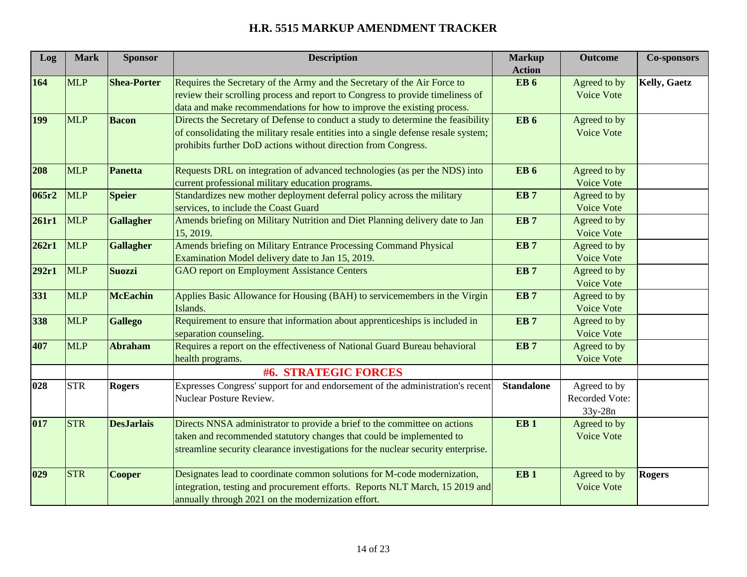| Log   | <b>Mark</b> | <b>Sponsor</b>     | <b>Description</b>                                                                                                                                                                                                                       | <b>Markup</b><br><b>Action</b> | <b>Outcome</b>                            | <b>Co-sponsors</b>  |
|-------|-------------|--------------------|------------------------------------------------------------------------------------------------------------------------------------------------------------------------------------------------------------------------------------------|--------------------------------|-------------------------------------------|---------------------|
| 164   | <b>MLP</b>  | <b>Shea-Porter</b> | Requires the Secretary of the Army and the Secretary of the Air Force to<br>review their scrolling process and report to Congress to provide timeliness of<br>data and make recommendations for how to improve the existing process.     | <b>EB</b> <sub>6</sub>         | Agreed to by<br>Voice Vote                | <b>Kelly, Gaetz</b> |
| 199   | <b>MLP</b>  | <b>Bacon</b>       | Directs the Secretary of Defense to conduct a study to determine the feasibility<br>of consolidating the military resale entities into a single defense resale system;<br>prohibits further DoD actions without direction from Congress. | <b>EB</b> <sub>6</sub>         | Agreed to by<br>Voice Vote                |                     |
| 208   | <b>MLP</b>  | <b>Panetta</b>     | Requests DRL on integration of advanced technologies (as per the NDS) into<br>current professional military education programs.                                                                                                          | <b>EB</b> <sub>6</sub>         | Agreed to by<br>Voice Vote                |                     |
| 065r2 | <b>MLP</b>  | <b>Speier</b>      | Standardizes new mother deployment deferral policy across the military<br>services, to include the Coast Guard                                                                                                                           | EB <sub>7</sub>                | Agreed to by<br>Voice Vote                |                     |
| 261r1 | <b>MLP</b>  | <b>Gallagher</b>   | Amends briefing on Military Nutrition and Diet Planning delivery date to Jan<br>15, 2019.                                                                                                                                                | EB <sub>7</sub>                | Agreed to by<br>Voice Vote                |                     |
| 262r1 | <b>MLP</b>  | <b>Gallagher</b>   | Amends briefing on Military Entrance Processing Command Physical<br>Examination Model delivery date to Jan 15, 2019.                                                                                                                     | EB <sub>7</sub>                | Agreed to by<br>Voice Vote                |                     |
| 292r1 | <b>MLP</b>  | <b>Suozzi</b>      | <b>GAO</b> report on Employment Assistance Centers                                                                                                                                                                                       | EB <sub>7</sub>                | Agreed to by<br>Voice Vote                |                     |
| 331   | <b>MLP</b>  | <b>McEachin</b>    | Applies Basic Allowance for Housing (BAH) to servicemembers in the Virgin<br>Islands.                                                                                                                                                    | EB <sub>7</sub>                | Agreed to by<br>Voice Vote                |                     |
| 338   | <b>MLP</b>  | <b>Gallego</b>     | Requirement to ensure that information about apprenticeships is included in<br>separation counseling.                                                                                                                                    | EB <sub>7</sub>                | Agreed to by<br>Voice Vote                |                     |
| 407   | <b>MLP</b>  | <b>Abraham</b>     | Requires a report on the effectiveness of National Guard Bureau behavioral<br>health programs.                                                                                                                                           | EB <sub>7</sub>                | Agreed to by<br>Voice Vote                |                     |
|       |             |                    | #6. STRATEGIC FORCES                                                                                                                                                                                                                     |                                |                                           |                     |
| 028   | <b>STR</b>  | <b>Rogers</b>      | Expresses Congress' support for and endorsement of the administration's recent<br>Nuclear Posture Review.                                                                                                                                | <b>Standalone</b>              | Agreed to by<br>Recorded Vote:<br>33y-28n |                     |
| 017   | <b>STR</b>  | <b>DesJarlais</b>  | Directs NNSA administrator to provide a brief to the committee on actions<br>taken and recommended statutory changes that could be implemented to<br>streamline security clearance investigations for the nuclear security enterprise.   | EB <sub>1</sub>                | Agreed to by<br>Voice Vote                |                     |
| 029   | <b>STR</b>  | <b>Cooper</b>      | Designates lead to coordinate common solutions for M-code modernization,<br>integration, testing and procurement efforts. Reports NLT March, 15 2019 and<br>annually through 2021 on the modernization effort.                           | EB <sub>1</sub>                | Agreed to by<br>Voice Vote                | <b>Rogers</b>       |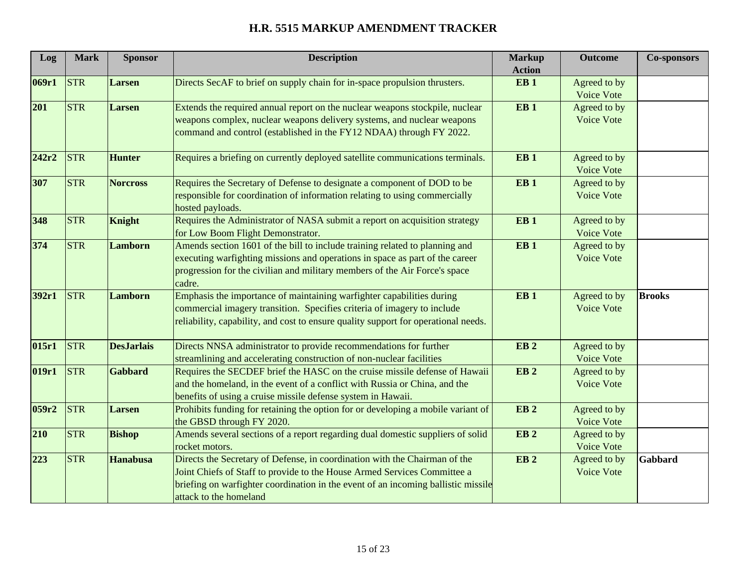| Log   | <b>Mark</b> | <b>Sponsor</b>    | <b>Description</b>                                                                 | <b>Markup</b>   | <b>Outcome</b>    | <b>Co-sponsors</b> |
|-------|-------------|-------------------|------------------------------------------------------------------------------------|-----------------|-------------------|--------------------|
|       |             |                   |                                                                                    | <b>Action</b>   |                   |                    |
| 069r1 | <b>STR</b>  | <b>Larsen</b>     | Directs SecAF to brief on supply chain for in-space propulsion thrusters.          | EB <sub>1</sub> | Agreed to by      |                    |
|       |             |                   |                                                                                    |                 | Voice Vote        |                    |
| 201   | <b>STR</b>  | <b>Larsen</b>     | Extends the required annual report on the nuclear weapons stockpile, nuclear       | EB <sub>1</sub> | Agreed to by      |                    |
|       |             |                   | weapons complex, nuclear weapons delivery systems, and nuclear weapons             |                 | Voice Vote        |                    |
|       |             |                   | command and control (established in the FY12 NDAA) through FY 2022.                |                 |                   |                    |
| 242r2 | <b>STR</b>  | <b>Hunter</b>     | Requires a briefing on currently deployed satellite communications terminals.      | EB <sub>1</sub> | Agreed to by      |                    |
|       |             |                   |                                                                                    |                 | Voice Vote        |                    |
| 307   | <b>STR</b>  | <b>Norcross</b>   | Requires the Secretary of Defense to designate a component of DOD to be            | EB <sub>1</sub> | Agreed to by      |                    |
|       |             |                   | responsible for coordination of information relating to using commercially         |                 | Voice Vote        |                    |
|       |             |                   | hosted payloads.                                                                   |                 |                   |                    |
| 348   | <b>STR</b>  | <b>Knight</b>     | Requires the Administrator of NASA submit a report on acquisition strategy         | EB <sub>1</sub> | Agreed to by      |                    |
|       |             |                   | for Low Boom Flight Demonstrator.                                                  |                 | <b>Voice Vote</b> |                    |
| 374   | <b>STR</b>  | <b>Lamborn</b>    | Amends section 1601 of the bill to include training related to planning and        | EB <sub>1</sub> | Agreed to by      |                    |
|       |             |                   | executing warfighting missions and operations in space as part of the career       |                 | Voice Vote        |                    |
|       |             |                   | progression for the civilian and military members of the Air Force's space         |                 |                   |                    |
|       |             |                   | cadre.                                                                             |                 |                   |                    |
| 392r1 | <b>STR</b>  | <b>Lamborn</b>    | Emphasis the importance of maintaining warfighter capabilities during              | EB <sub>1</sub> | Agreed to by      | <b>Brooks</b>      |
|       |             |                   | commercial imagery transition. Specifies criteria of imagery to include            |                 | Voice Vote        |                    |
|       |             |                   | reliability, capability, and cost to ensure quality support for operational needs. |                 |                   |                    |
|       |             |                   |                                                                                    |                 |                   |                    |
| 015r1 | <b>STR</b>  | <b>DesJarlais</b> | Directs NNSA administrator to provide recommendations for further                  | EB <sub>2</sub> | Agreed to by      |                    |
|       |             |                   | streamlining and accelerating construction of non-nuclear facilities               |                 | Voice Vote        |                    |
| 019r1 | <b>STR</b>  | <b>Gabbard</b>    | Requires the SECDEF brief the HASC on the cruise missile defense of Hawaii         | EB <sub>2</sub> | Agreed to by      |                    |
|       |             |                   | and the homeland, in the event of a conflict with Russia or China, and the         |                 | Voice Vote        |                    |
|       |             |                   | benefits of using a cruise missile defense system in Hawaii.                       |                 |                   |                    |
| 059r2 | <b>STR</b>  | <b>Larsen</b>     | Prohibits funding for retaining the option for or developing a mobile variant of   | EB <sub>2</sub> | Agreed to by      |                    |
|       |             |                   | the GBSD through FY 2020.                                                          |                 | Voice Vote        |                    |
| 210   | <b>STR</b>  | <b>Bishop</b>     | Amends several sections of a report regarding dual domestic suppliers of solid     | EB <sub>2</sub> | Agreed to by      |                    |
|       |             |                   | rocket motors.                                                                     |                 | Voice Vote        |                    |
| 223   | <b>STR</b>  | <b>Hanabusa</b>   | Directs the Secretary of Defense, in coordination with the Chairman of the         | EB <sub>2</sub> | Agreed to by      | Gabbard            |
|       |             |                   | Joint Chiefs of Staff to provide to the House Armed Services Committee a           |                 | Voice Vote        |                    |
|       |             |                   | briefing on warfighter coordination in the event of an incoming ballistic missile  |                 |                   |                    |
|       |             |                   | attack to the homeland                                                             |                 |                   |                    |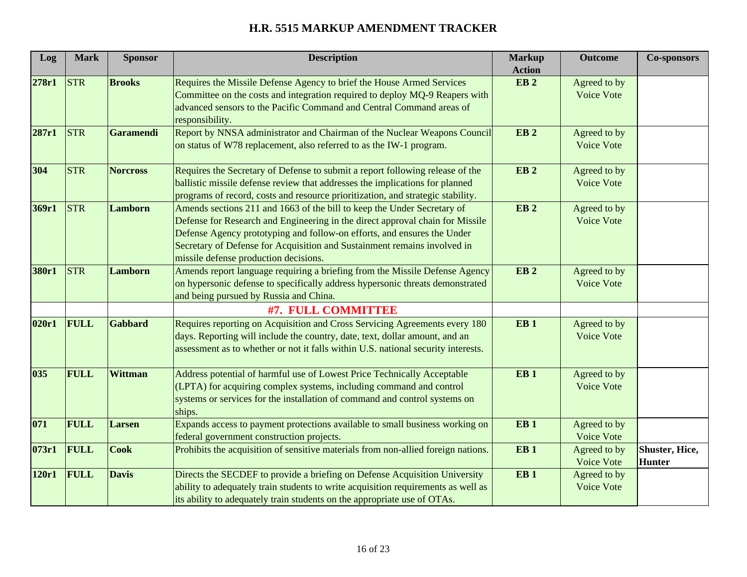| Log   | <b>Mark</b> | <b>Sponsor</b>   | <b>Description</b>                                                                                                                                                                                                                                                                                                                                       | <b>Markup</b><br><b>Action</b> | <b>Outcome</b>                    | <b>Co-sponsors</b>                      |
|-------|-------------|------------------|----------------------------------------------------------------------------------------------------------------------------------------------------------------------------------------------------------------------------------------------------------------------------------------------------------------------------------------------------------|--------------------------------|-----------------------------------|-----------------------------------------|
| 278r1 | <b>STR</b>  | <b>Brooks</b>    | Requires the Missile Defense Agency to brief the House Armed Services<br>Committee on the costs and integration required to deploy MQ-9 Reapers with                                                                                                                                                                                                     | EB <sub>2</sub>                | Agreed to by<br><b>Voice Vote</b> |                                         |
|       |             |                  | advanced sensors to the Pacific Command and Central Command areas of<br>responsibility.                                                                                                                                                                                                                                                                  |                                |                                   |                                         |
| 287r1 | <b>STR</b>  | <b>Garamendi</b> | Report by NNSA administrator and Chairman of the Nuclear Weapons Council<br>on status of W78 replacement, also referred to as the IW-1 program.                                                                                                                                                                                                          | EB <sub>2</sub>                | Agreed to by<br>Voice Vote        |                                         |
| 304   | <b>STR</b>  | <b>Norcross</b>  | Requires the Secretary of Defense to submit a report following release of the<br>ballistic missile defense review that addresses the implications for planned<br>programs of record, costs and resource prioritization, and strategic stability.                                                                                                         | EB <sub>2</sub>                | Agreed to by<br><b>Voice Vote</b> |                                         |
| 369r1 | <b>STR</b>  | <b>Lamborn</b>   | Amends sections 211 and 1663 of the bill to keep the Under Secretary of<br>Defense for Research and Engineering in the direct approval chain for Missile<br>Defense Agency prototyping and follow-on efforts, and ensures the Under<br>Secretary of Defense for Acquisition and Sustainment remains involved in<br>missile defense production decisions. | EB <sub>2</sub>                | Agreed to by<br><b>Voice Vote</b> |                                         |
| 380r1 | <b>STR</b>  | <b>Lamborn</b>   | Amends report language requiring a briefing from the Missile Defense Agency<br>on hypersonic defense to specifically address hypersonic threats demonstrated<br>and being pursued by Russia and China.                                                                                                                                                   | EB <sub>2</sub>                | Agreed to by<br>Voice Vote        |                                         |
|       |             |                  | #7. FULL COMMITTEE                                                                                                                                                                                                                                                                                                                                       |                                |                                   |                                         |
| 020r1 | FULL        | <b>Gabbard</b>   | Requires reporting on Acquisition and Cross Servicing Agreements every 180<br>days. Reporting will include the country, date, text, dollar amount, and an<br>assessment as to whether or not it falls within U.S. national security interests.                                                                                                           | EB <sub>1</sub>                | Agreed to by<br>Voice Vote        |                                         |
| 035   | FULL        | <b>Wittman</b>   | Address potential of harmful use of Lowest Price Technically Acceptable<br>(LPTA) for acquiring complex systems, including command and control<br>systems or services for the installation of command and control systems on<br>ships.                                                                                                                   | EB <sub>1</sub>                | Agreed to by<br>Voice Vote        |                                         |
| 071   | FULL        | <b>Larsen</b>    | Expands access to payment protections available to small business working on<br>federal government construction projects.                                                                                                                                                                                                                                | EB <sub>1</sub>                | Agreed to by<br>Voice Vote        |                                         |
| 073r1 | <b>FULL</b> | <b>Cook</b>      | Prohibits the acquisition of sensitive materials from non-allied foreign nations.                                                                                                                                                                                                                                                                        | EB <sub>1</sub>                | Agreed to by<br>Voice Vote        | <b>Shuster</b> , Hice,<br><b>Hunter</b> |
| 120r1 | FULL        | <b>Davis</b>     | Directs the SECDEF to provide a briefing on Defense Acquisition University<br>ability to adequately train students to write acquisition requirements as well as<br>its ability to adequately train students on the appropriate use of OTAs.                                                                                                              | EB <sub>1</sub>                | Agreed to by<br>Voice Vote        |                                         |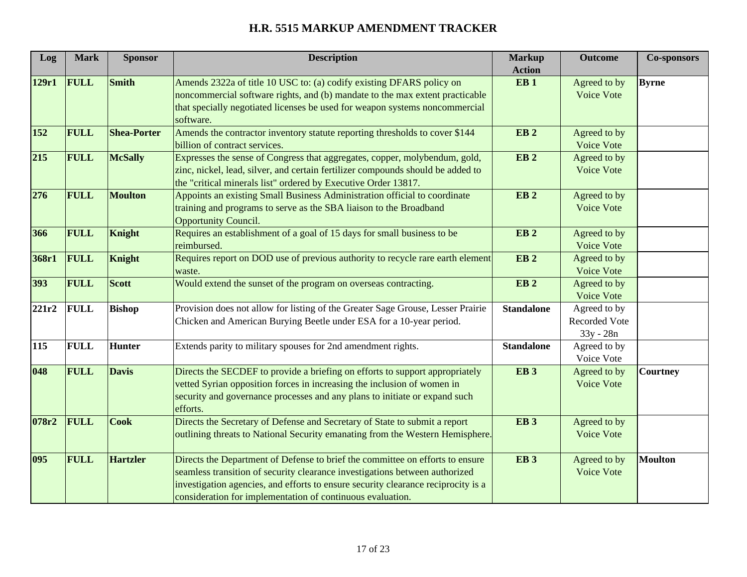| Log   | <b>Mark</b> | <b>Sponsor</b>     | <b>Description</b>                                                                | <b>Markup</b>                    | <b>Outcome</b>    | <b>Co-sponsors</b> |
|-------|-------------|--------------------|-----------------------------------------------------------------------------------|----------------------------------|-------------------|--------------------|
| 129r1 | FULL        | <b>Smith</b>       | Amends 2322a of title 10 USC to: (a) codify existing DFARS policy on              | <b>Action</b><br>EB <sub>1</sub> | Agreed to by      | <b>Byrne</b>       |
|       |             |                    | noncommercial software rights, and (b) mandate to the max extent practicable      |                                  | Voice Vote        |                    |
|       |             |                    | that specially negotiated licenses be used for weapon systems noncommercial       |                                  |                   |                    |
|       |             |                    | software.                                                                         |                                  |                   |                    |
| 152   | <b>FULL</b> | <b>Shea-Porter</b> | Amends the contractor inventory statute reporting thresholds to cover \$144       | EB <sub>2</sub>                  | Agreed to by      |                    |
|       |             |                    | billion of contract services.                                                     |                                  | <b>Voice Vote</b> |                    |
| 215   | <b>FULL</b> | <b>McSally</b>     | Expresses the sense of Congress that aggregates, copper, molybendum, gold,        | EB <sub>2</sub>                  | Agreed to by      |                    |
|       |             |                    | zinc, nickel, lead, silver, and certain fertilizer compounds should be added to   |                                  | Voice Vote        |                    |
|       |             |                    | the "critical minerals list" ordered by Executive Order 13817.                    |                                  |                   |                    |
| 276   | FULL        | <b>Moulton</b>     | Appoints an existing Small Business Administration official to coordinate         | EB <sub>2</sub>                  | Agreed to by      |                    |
|       |             |                    | training and programs to serve as the SBA liaison to the Broadband                |                                  | Voice Vote        |                    |
|       |             |                    | Opportunity Council.                                                              |                                  |                   |                    |
| 366   | <b>FULL</b> | Knight             | Requires an establishment of a goal of 15 days for small business to be           | EB <sub>2</sub>                  | Agreed to by      |                    |
|       |             |                    | reimbursed.                                                                       |                                  | Voice Vote        |                    |
| 368r1 | <b>FULL</b> | <b>Knight</b>      | Requires report on DOD use of previous authority to recycle rare earth element    | EB <sub>2</sub>                  | Agreed to by      |                    |
|       |             |                    | waste.                                                                            |                                  | Voice Vote        |                    |
| 393   | FULL        | Scott              | Would extend the sunset of the program on overseas contracting.                   | EB <sub>2</sub>                  | Agreed to by      |                    |
|       |             |                    |                                                                                   |                                  | Voice Vote        |                    |
| 221r2 | <b>FULL</b> | <b>Bishop</b>      | Provision does not allow for listing of the Greater Sage Grouse, Lesser Prairie   | <b>Standalone</b>                | Agreed to by      |                    |
|       |             |                    | Chicken and American Burying Beetle under ESA for a 10-year period.               |                                  | Recorded Vote     |                    |
|       |             |                    |                                                                                   |                                  | $33y - 28n$       |                    |
| 115   | <b>FULL</b> | Hunter             | Extends parity to military spouses for 2nd amendment rights.                      | <b>Standalone</b>                | Agreed to by      |                    |
|       |             |                    |                                                                                   |                                  | Voice Vote        |                    |
| 048   | FULL        | <b>Davis</b>       | Directs the SECDEF to provide a briefing on efforts to support appropriately      | <b>EB3</b>                       | Agreed to by      | <b>Courtney</b>    |
|       |             |                    | vetted Syrian opposition forces in increasing the inclusion of women in           |                                  | Voice Vote        |                    |
|       |             |                    | security and governance processes and any plans to initiate or expand such        |                                  |                   |                    |
|       |             |                    | efforts.                                                                          |                                  |                   |                    |
| 078r2 | <b>FULL</b> | <b>Cook</b>        | Directs the Secretary of Defense and Secretary of State to submit a report        | EB <sub>3</sub>                  | Agreed to by      |                    |
|       |             |                    | outlining threats to National Security emanating from the Western Hemisphere.     |                                  | Voice Vote        |                    |
|       |             |                    |                                                                                   |                                  |                   |                    |
| 095   | FULL        | <b>Hartzler</b>    | Directs the Department of Defense to brief the committee on efforts to ensure     | <b>EB3</b>                       | Agreed to by      | <b>Moulton</b>     |
|       |             |                    | seamless transition of security clearance investigations between authorized       |                                  | <b>Voice Vote</b> |                    |
|       |             |                    | investigation agencies, and efforts to ensure security clearance reciprocity is a |                                  |                   |                    |
|       |             |                    | consideration for implementation of continuous evaluation.                        |                                  |                   |                    |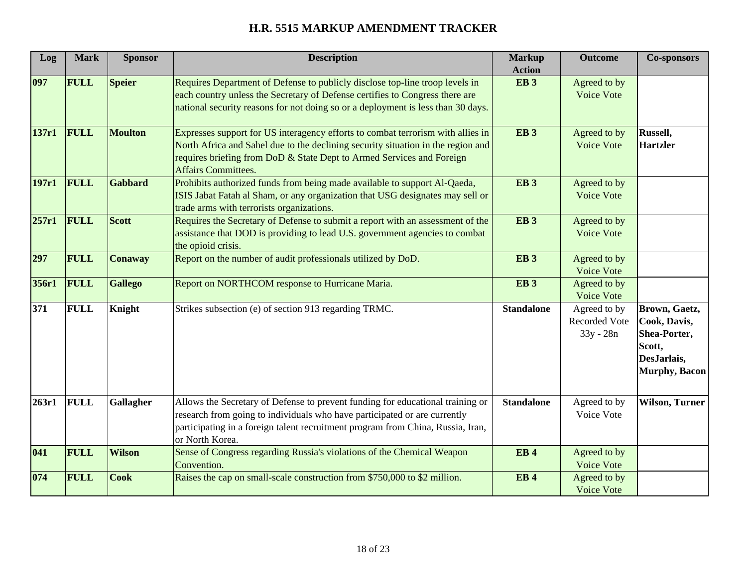| Log   | <b>Mark</b> | <b>Sponsor</b> | <b>Description</b>                                                                                                                                                                                                                                                         | <b>Markup</b><br><b>Action</b> | <b>Outcome</b>                                    | <b>Co-sponsors</b>                                                                              |
|-------|-------------|----------------|----------------------------------------------------------------------------------------------------------------------------------------------------------------------------------------------------------------------------------------------------------------------------|--------------------------------|---------------------------------------------------|-------------------------------------------------------------------------------------------------|
| 097   | <b>FULL</b> | <b>Speier</b>  | Requires Department of Defense to publicly disclose top-line troop levels in<br>each country unless the Secretary of Defense certifies to Congress there are<br>national security reasons for not doing so or a deployment is less than 30 days.                           | <b>EB3</b>                     | Agreed to by<br>Voice Vote                        |                                                                                                 |
| 137r1 | FULL        | <b>Moulton</b> | Expresses support for US interagency efforts to combat terrorism with allies in<br>North Africa and Sahel due to the declining security situation in the region and<br>requires briefing from DoD & State Dept to Armed Services and Foreign<br><b>Affairs Committees.</b> | EB <sub>3</sub>                | Agreed to by<br><b>Voice Vote</b>                 | Russell,<br><b>Hartzler</b>                                                                     |
| 197r1 | FULL        | <b>Gabbard</b> | Prohibits authorized funds from being made available to support Al-Qaeda,<br>ISIS Jabat Fatah al Sham, or any organization that USG designates may sell or<br>trade arms with terrorists organizations.                                                                    | EB <sub>3</sub>                | Agreed to by<br><b>Voice Vote</b>                 |                                                                                                 |
| 257r1 | FULL        | Scott          | Requires the Secretary of Defense to submit a report with an assessment of the<br>assistance that DOD is providing to lead U.S. government agencies to combat<br>the opioid crisis.                                                                                        | EB <sub>3</sub>                | Agreed to by<br>Voice Vote                        |                                                                                                 |
| 297   | FULL        | Conaway        | Report on the number of audit professionals utilized by DoD.                                                                                                                                                                                                               | EB <sub>3</sub>                | Agreed to by<br>Voice Vote                        |                                                                                                 |
| 356r1 | FULL        | <b>Gallego</b> | Report on NORTHCOM response to Hurricane Maria.                                                                                                                                                                                                                            | EB <sub>3</sub>                | Agreed to by<br>Voice Vote                        |                                                                                                 |
| 371   | <b>FULL</b> | Knight         | Strikes subsection (e) of section 913 regarding TRMC.                                                                                                                                                                                                                      | <b>Standalone</b>              | Agreed to by<br><b>Recorded Vote</b><br>33y - 28n | Brown, Gaetz,<br>Cook, Davis,<br>Shea-Porter,<br>Scott,<br>DesJarlais,<br><b>Murphy</b> , Bacon |
| 263r1 | <b>FULL</b> | Gallagher      | Allows the Secretary of Defense to prevent funding for educational training or<br>research from going to individuals who have participated or are currently<br>participating in a foreign talent recruitment program from China, Russia, Iran,<br>or North Korea.          | <b>Standalone</b>              | Agreed to by<br>Voice Vote                        | <b>Wilson, Turner</b>                                                                           |
| 041   | FULL        | <b>Wilson</b>  | Sense of Congress regarding Russia's violations of the Chemical Weapon<br>Convention.                                                                                                                                                                                      | <b>EB4</b>                     | Agreed to by<br><b>Voice Vote</b>                 |                                                                                                 |
| 074   | <b>FULL</b> | <b>Cook</b>    | Raises the cap on small-scale construction from \$750,000 to \$2 million.                                                                                                                                                                                                  | <b>EB4</b>                     | Agreed to by<br><b>Voice Vote</b>                 |                                                                                                 |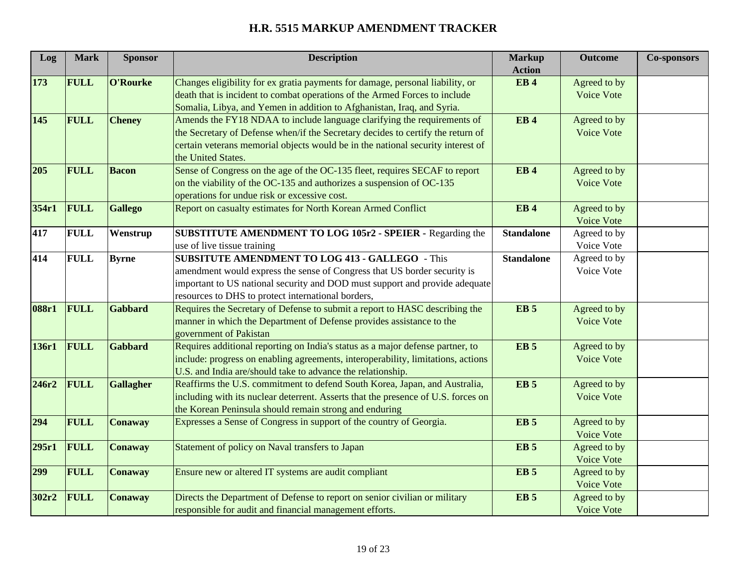| Log   | <b>Mark</b> | <b>Sponsor</b>   | <b>Description</b>                                                                | <b>Markup</b>          | <b>Outcome</b>    | <b>Co-sponsors</b> |
|-------|-------------|------------------|-----------------------------------------------------------------------------------|------------------------|-------------------|--------------------|
|       |             |                  |                                                                                   | <b>Action</b>          |                   |                    |
| 173   | <b>FULL</b> | O'Rourke         | Changes eligibility for ex gratia payments for damage, personal liability, or     | <b>EB4</b>             | Agreed to by      |                    |
|       |             |                  | death that is incident to combat operations of the Armed Forces to include        |                        | <b>Voice Vote</b> |                    |
|       |             |                  | Somalia, Libya, and Yemen in addition to Afghanistan, Iraq, and Syria.            |                        |                   |                    |
| 145   | <b>FULL</b> | <b>Cheney</b>    | Amends the FY18 NDAA to include language clarifying the requirements of           | EB <sub>4</sub>        | Agreed to by      |                    |
|       |             |                  | the Secretary of Defense when/if the Secretary decides to certify the return of   |                        | Voice Vote        |                    |
|       |             |                  | certain veterans memorial objects would be in the national security interest of   |                        |                   |                    |
|       |             |                  | the United States.                                                                |                        |                   |                    |
| 205   | <b>FULL</b> | <b>Bacon</b>     | Sense of Congress on the age of the OC-135 fleet, requires SECAF to report        | <b>EB4</b>             | Agreed to by      |                    |
|       |             |                  | on the viability of the OC-135 and authorizes a suspension of OC-135              |                        | Voice Vote        |                    |
|       |             |                  | operations for undue risk or excessive cost.                                      |                        |                   |                    |
| 354r1 | FULL        | <b>Gallego</b>   | Report on casualty estimates for North Korean Armed Conflict                      | <b>EB4</b>             | Agreed to by      |                    |
|       |             |                  |                                                                                   |                        | Voice Vote        |                    |
| 417   | <b>FULL</b> | Wenstrup         | SUBSTITUTE AMENDMENT TO LOG 105r2 - SPEIER - Regarding the                        | <b>Standalone</b>      | Agreed to by      |                    |
|       |             |                  | use of live tissue training                                                       |                        | Voice Vote        |                    |
| 414   | <b>FULL</b> | <b>Byrne</b>     | <b>SUBSITUTE AMENDMENT TO LOG 413 - GALLEGO - This</b>                            | <b>Standalone</b>      | Agreed to by      |                    |
|       |             |                  | amendment would express the sense of Congress that US border security is          |                        | Voice Vote        |                    |
|       |             |                  | important to US national security and DOD must support and provide adequate       |                        |                   |                    |
|       |             |                  | resources to DHS to protect international borders,                                |                        |                   |                    |
| 088r1 | FULL        | <b>Gabbard</b>   | Requires the Secretary of Defense to submit a report to HASC describing the       | <b>EB</b> <sub>5</sub> | Agreed to by      |                    |
|       |             |                  | manner in which the Department of Defense provides assistance to the              |                        | Voice Vote        |                    |
|       |             |                  | government of Pakistan                                                            |                        |                   |                    |
| 136r1 | FULL        | Gabbard          | Requires additional reporting on India's status as a major defense partner, to    | <b>EB</b> <sub>5</sub> | Agreed to by      |                    |
|       |             |                  | include: progress on enabling agreements, interoperability, limitations, actions  |                        | Voice Vote        |                    |
|       |             |                  | U.S. and India are/should take to advance the relationship.                       |                        |                   |                    |
| 246r2 | <b>FULL</b> | <b>Gallagher</b> | Reaffirms the U.S. commitment to defend South Korea, Japan, and Australia,        | <b>EB</b> <sub>5</sub> | Agreed to by      |                    |
|       |             |                  | including with its nuclear deterrent. Asserts that the presence of U.S. forces on |                        | <b>Voice Vote</b> |                    |
|       |             |                  | the Korean Peninsula should remain strong and enduring                            |                        |                   |                    |
| 294   | <b>FULL</b> | <b>Conaway</b>   | Expresses a Sense of Congress in support of the country of Georgia.               | EB <sub>5</sub>        | Agreed to by      |                    |
|       |             |                  |                                                                                   |                        | Voice Vote        |                    |
| 295r1 | <b>FULL</b> | <b>Conaway</b>   | Statement of policy on Naval transfers to Japan                                   | <b>EB</b> <sub>5</sub> | Agreed to by      |                    |
|       |             |                  |                                                                                   |                        | Voice Vote        |                    |
| 299   | <b>FULL</b> | <b>Conaway</b>   | Ensure new or altered IT systems are audit compliant                              | <b>EB</b> <sub>5</sub> | Agreed to by      |                    |
|       |             |                  |                                                                                   |                        | Voice Vote        |                    |
| 302r2 | FULL        | <b>Conaway</b>   | Directs the Department of Defense to report on senior civilian or military        | <b>EB</b> <sub>5</sub> | Agreed to by      |                    |
|       |             |                  | responsible for audit and financial management efforts.                           |                        | Voice Vote        |                    |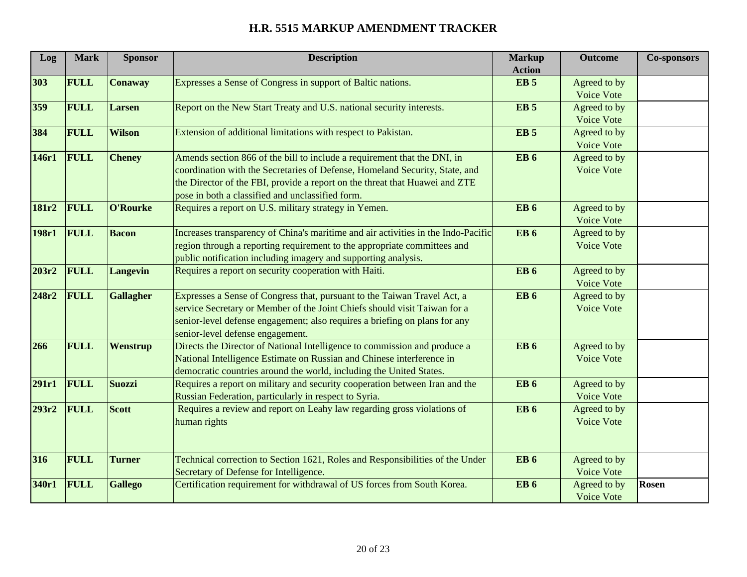| Log   | <b>Mark</b> | <b>Sponsor</b>   | <b>Description</b>                                                                | <b>Markup</b>          | <b>Outcome</b>    | <b>Co-sponsors</b> |
|-------|-------------|------------------|-----------------------------------------------------------------------------------|------------------------|-------------------|--------------------|
|       |             |                  |                                                                                   | <b>Action</b>          |                   |                    |
| 303   | <b>FULL</b> | <b>Conaway</b>   | Expresses a Sense of Congress in support of Baltic nations.                       | EB <sub>5</sub>        | Agreed to by      |                    |
|       |             |                  |                                                                                   |                        | Voice Vote        |                    |
| 359   | <b>FULL</b> | <b>Larsen</b>    | Report on the New Start Treaty and U.S. national security interests.              | <b>EB</b> <sub>5</sub> | Agreed to by      |                    |
|       |             |                  |                                                                                   |                        | Voice Vote        |                    |
| 384   | <b>FULL</b> | <b>Wilson</b>    | Extension of additional limitations with respect to Pakistan.                     | <b>EB</b> <sub>5</sub> | Agreed to by      |                    |
|       |             |                  |                                                                                   |                        | Voice Vote        |                    |
| 146r1 | FULL        | <b>Cheney</b>    | Amends section 866 of the bill to include a requirement that the DNI, in          | <b>EB</b> 6            | Agreed to by      |                    |
|       |             |                  | coordination with the Secretaries of Defense, Homeland Security, State, and       |                        | Voice Vote        |                    |
|       |             |                  | the Director of the FBI, provide a report on the threat that Huawei and ZTE       |                        |                   |                    |
|       |             |                  | pose in both a classified and unclassified form.                                  |                        |                   |                    |
| 181r2 | <b>FULL</b> | O'Rourke         | Requires a report on U.S. military strategy in Yemen.                             | <b>EB</b> <sub>6</sub> | Agreed to by      |                    |
|       |             |                  |                                                                                   |                        | <b>Voice Vote</b> |                    |
| 198r1 | <b>FULL</b> | <b>Bacon</b>     | Increases transparency of China's maritime and air activities in the Indo-Pacific | <b>EB</b> <sub>6</sub> | Agreed to by      |                    |
|       |             |                  | region through a reporting requirement to the appropriate committees and          |                        | Voice Vote        |                    |
|       |             |                  | public notification including imagery and supporting analysis.                    |                        |                   |                    |
| 203r2 | <b>FULL</b> | <b>Langevin</b>  | Requires a report on security cooperation with Haiti.                             | <b>EB</b> <sub>6</sub> | Agreed to by      |                    |
|       |             |                  |                                                                                   |                        | Voice Vote        |                    |
| 248r2 | <b>FULL</b> | <b>Gallagher</b> | Expresses a Sense of Congress that, pursuant to the Taiwan Travel Act, a          | EB <sub>6</sub>        | Agreed to by      |                    |
|       |             |                  | service Secretary or Member of the Joint Chiefs should visit Taiwan for a         |                        | Voice Vote        |                    |
|       |             |                  | senior-level defense engagement; also requires a briefing on plans for any        |                        |                   |                    |
|       |             |                  | senior-level defense engagement.                                                  |                        |                   |                    |
| 266   | <b>FULL</b> | Wenstrup         | Directs the Director of National Intelligence to commission and produce a         | EB <sub>6</sub>        | Agreed to by      |                    |
|       |             |                  | National Intelligence Estimate on Russian and Chinese interference in             |                        | Voice Vote        |                    |
|       |             |                  | democratic countries around the world, including the United States.               |                        |                   |                    |
| 291r1 | FULL        | Suozzi           | Requires a report on military and security cooperation between Iran and the       | <b>EB</b> <sub>6</sub> | Agreed to by      |                    |
|       |             |                  | Russian Federation, particularly in respect to Syria.                             |                        | Voice Vote        |                    |
| 293r2 | <b>FULL</b> | Scott            | Requires a review and report on Leahy law regarding gross violations of           | <b>EB</b> <sub>6</sub> | Agreed to by      |                    |
|       |             |                  | human rights                                                                      |                        | Voice Vote        |                    |
|       |             |                  |                                                                                   |                        |                   |                    |
|       |             |                  |                                                                                   |                        |                   |                    |
| 316   | <b>FULL</b> | <b>Turner</b>    | Technical correction to Section 1621, Roles and Responsibilities of the Under     | <b>EB</b> 6            | Agreed to by      |                    |
|       |             |                  | Secretary of Defense for Intelligence.                                            |                        | <b>Voice Vote</b> |                    |
| 340r1 | <b>FULL</b> | <b>Gallego</b>   | Certification requirement for withdrawal of US forces from South Korea.           | <b>EB</b> <sub>6</sub> | Agreed to by      | Rosen              |
|       |             |                  |                                                                                   |                        | Voice Vote        |                    |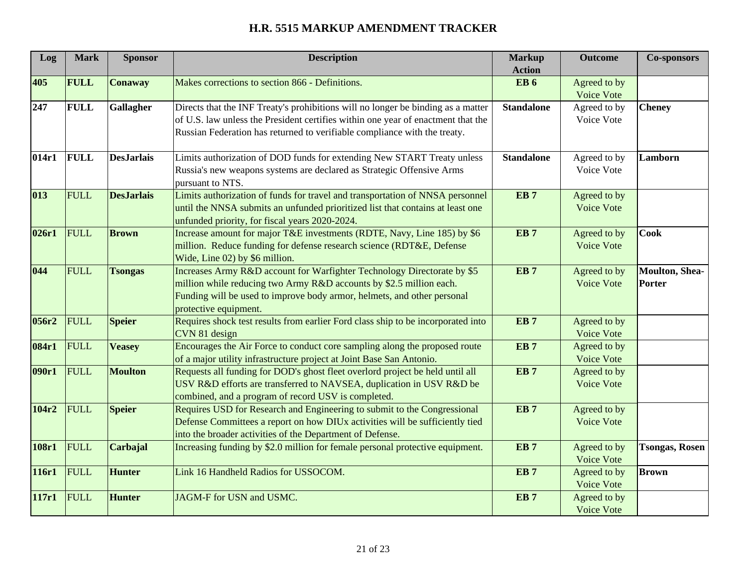| Log   | <b>Mark</b> | <b>Sponsor</b>    | <b>Description</b>                                                                                                                                                                                                                                 | <b>Markup</b>                           | <b>Outcome</b>                    | <b>Co-sponsors</b>       |
|-------|-------------|-------------------|----------------------------------------------------------------------------------------------------------------------------------------------------------------------------------------------------------------------------------------------------|-----------------------------------------|-----------------------------------|--------------------------|
| 405   | <b>FULL</b> | <b>Conaway</b>    | Makes corrections to section 866 - Definitions.                                                                                                                                                                                                    | <b>Action</b><br><b>EB</b> <sub>6</sub> | Agreed to by<br>Voice Vote        |                          |
| 247   | <b>FULL</b> | Gallagher         | Directs that the INF Treaty's prohibitions will no longer be binding as a matter<br>of U.S. law unless the President certifies within one year of enactment that the<br>Russian Federation has returned to verifiable compliance with the treaty.  | <b>Standalone</b>                       | Agreed to by<br>Voice Vote        | <b>Cheney</b>            |
| 014r1 | <b>FULL</b> | <b>DesJarlais</b> | Limits authorization of DOD funds for extending New START Treaty unless<br>Russia's new weapons systems are declared as Strategic Offensive Arms<br>pursuant to NTS.                                                                               | <b>Standalone</b>                       | Agreed to by<br>Voice Vote        | Lamborn                  |
| 013   | FULL        | <b>DesJarlais</b> | Limits authorization of funds for travel and transportation of NNSA personnel<br>until the NNSA submits an unfunded prioritized list that contains at least one<br>unfunded priority, for fiscal years 2020-2024.                                  | EB <sub>7</sub>                         | Agreed to by<br>Voice Vote        |                          |
| 026r1 | FULL        | <b>Brown</b>      | Increase amount for major T&E investments (RDTE, Navy, Line 185) by \$6<br>million. Reduce funding for defense research science (RDT&E, Defense<br>Wide, Line 02) by \$6 million.                                                                  | EB <sub>7</sub>                         | Agreed to by<br><b>Voice Vote</b> | <b>Cook</b>              |
| 044   | <b>FULL</b> | <b>Tsongas</b>    | Increases Army R&D account for Warfighter Technology Directorate by \$5<br>million while reducing two Army R&D accounts by \$2.5 million each.<br>Funding will be used to improve body armor, helmets, and other personal<br>protective equipment. | EB <sub>7</sub>                         | Agreed to by<br>Voice Vote        | Moulton, Shea-<br>Porter |
| 056r2 | FULL        | <b>Speier</b>     | Requires shock test results from earlier Ford class ship to be incorporated into<br>CVN 81 design                                                                                                                                                  | EB <sub>7</sub>                         | Agreed to by<br><b>Voice Vote</b> |                          |
| 084r1 | FULL        | <b>Veasey</b>     | Encourages the Air Force to conduct core sampling along the proposed route<br>of a major utility infrastructure project at Joint Base San Antonio.                                                                                                 | EB <sub>7</sub>                         | Agreed to by<br>Voice Vote        |                          |
| 090r1 | FULL        | <b>Moulton</b>    | Requests all funding for DOD's ghost fleet overlord project be held until all<br>USV R&D efforts are transferred to NAVSEA, duplication in USV R&D be<br>combined, and a program of record USV is completed.                                       | EB <sub>7</sub>                         | Agreed to by<br>Voice Vote        |                          |
| 104r2 | FULL        | <b>Speier</b>     | Requires USD for Research and Engineering to submit to the Congressional<br>Defense Committees a report on how DIUx activities will be sufficiently tied<br>into the broader activities of the Department of Defense.                              | EB <sub>7</sub>                         | Agreed to by<br><b>Voice Vote</b> |                          |
| 108r1 | FULL        | Carbajal          | Increasing funding by \$2.0 million for female personal protective equipment.                                                                                                                                                                      | EB <sub>7</sub>                         | Agreed to by<br>Voice Vote        | <b>Tsongas, Rosen</b>    |
| 116r1 | FULL        | <b>Hunter</b>     | Link 16 Handheld Radios for USSOCOM.                                                                                                                                                                                                               | EB <sub>7</sub>                         | Agreed to by<br>Voice Vote        | <b>Brown</b>             |
| 117r1 | FULL        | <b>Hunter</b>     | JAGM-F for USN and USMC.                                                                                                                                                                                                                           | EB <sub>7</sub>                         | Agreed to by<br>Voice Vote        |                          |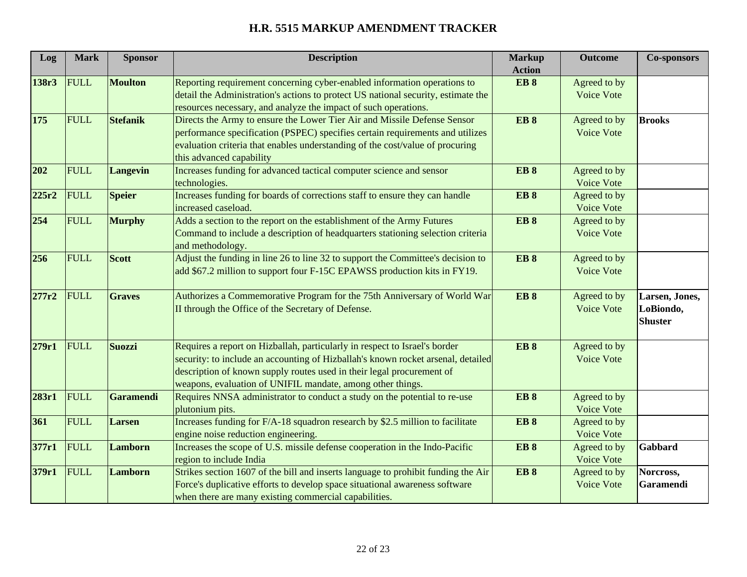| Log   | <b>Mark</b> | <b>Sponsor</b>   | <b>Description</b>                                                                                                                                            | <b>Markup</b>   | <b>Outcome</b>             | <b>Co-sponsors</b> |
|-------|-------------|------------------|---------------------------------------------------------------------------------------------------------------------------------------------------------------|-----------------|----------------------------|--------------------|
|       |             |                  |                                                                                                                                                               | <b>Action</b>   |                            |                    |
| 138r3 | <b>FULL</b> | <b>Moulton</b>   | Reporting requirement concerning cyber-enabled information operations to<br>detail the Administration's actions to protect US national security, estimate the | <b>EB8</b>      | Agreed to by<br>Voice Vote |                    |
|       |             |                  | resources necessary, and analyze the impact of such operations.                                                                                               |                 |                            |                    |
| 175   | FULL        | Stefanik         | Directs the Army to ensure the Lower Tier Air and Missile Defense Sensor                                                                                      | <b>EB8</b>      | Agreed to by               | <b>Brooks</b>      |
|       |             |                  | performance specification (PSPEC) specifies certain requirements and utilizes                                                                                 |                 | Voice Vote                 |                    |
|       |             |                  | evaluation criteria that enables understanding of the cost/value of procuring                                                                                 |                 |                            |                    |
|       |             |                  | this advanced capability                                                                                                                                      |                 |                            |                    |
| 202   | <b>FULL</b> | <b>Langevin</b>  | Increases funding for advanced tactical computer science and sensor                                                                                           | <b>EB8</b>      | Agreed to by               |                    |
|       |             |                  | technologies.                                                                                                                                                 |                 | Voice Vote                 |                    |
| 225r2 | <b>FULL</b> | <b>Speier</b>    | Increases funding for boards of corrections staff to ensure they can handle                                                                                   | EB <sub>8</sub> | Agreed to by               |                    |
|       |             |                  | increased caseload.                                                                                                                                           |                 | Voice Vote                 |                    |
| 254   | <b>FULL</b> | <b>Murphy</b>    | Adds a section to the report on the establishment of the Army Futures                                                                                         | <b>EB8</b>      | Agreed to by               |                    |
|       |             |                  | Command to include a description of headquarters stationing selection criteria                                                                                |                 | <b>Voice Vote</b>          |                    |
|       |             |                  | and methodology.                                                                                                                                              |                 |                            |                    |
| 256   | FULL        | Scott            | Adjust the funding in line 26 to line 32 to support the Committee's decision to                                                                               | <b>EB8</b>      | Agreed to by               |                    |
|       |             |                  | add \$67.2 million to support four F-15C EPAWSS production kits in FY19.                                                                                      |                 | Voice Vote                 |                    |
| 277r2 | <b>FULL</b> | Graves           | Authorizes a Commemorative Program for the 75th Anniversary of World War                                                                                      | <b>EB8</b>      | Agreed to by               | Larsen, Jones,     |
|       |             |                  | II through the Office of the Secretary of Defense.                                                                                                            |                 | Voice Vote                 | LoBiondo,          |
|       |             |                  |                                                                                                                                                               |                 |                            | <b>Shuster</b>     |
|       |             |                  |                                                                                                                                                               |                 |                            |                    |
| 279r1 | FULL        | Suozzi           | Requires a report on Hizballah, particularly in respect to Israel's border                                                                                    | <b>EB8</b>      | Agreed to by               |                    |
|       |             |                  | security: to include an accounting of Hizballah's known rocket arsenal, detailed                                                                              |                 | <b>Voice Vote</b>          |                    |
|       |             |                  | description of known supply routes used in their legal procurement of                                                                                         |                 |                            |                    |
|       |             |                  | weapons, evaluation of UNIFIL mandate, among other things.                                                                                                    |                 |                            |                    |
| 283r1 | FULL        | <b>Garamendi</b> | Requires NNSA administrator to conduct a study on the potential to re-use                                                                                     | EB <sub>8</sub> | Agreed to by               |                    |
|       |             |                  | plutonium pits.                                                                                                                                               |                 | Voice Vote                 |                    |
| 361   | <b>FULL</b> | Larsen           | Increases funding for F/A-18 squadron research by \$2.5 million to facilitate                                                                                 | EB <sub>8</sub> | Agreed to by               |                    |
|       |             |                  | engine noise reduction engineering.                                                                                                                           |                 | <b>Voice Vote</b>          |                    |
| 377r1 | <b>FULL</b> | Lamborn          | Increases the scope of U.S. missile defense cooperation in the Indo-Pacific                                                                                   | EB <sub>8</sub> | Agreed to by               | Gabbard            |
|       |             |                  | region to include India                                                                                                                                       |                 | Voice Vote                 |                    |
| 379r1 | FULL        | Lamborn          | Strikes section 1607 of the bill and inserts language to prohibit funding the Air                                                                             | <b>EB8</b>      | Agreed to by               | Norcross,          |
|       |             |                  | Force's duplicative efforts to develop space situational awareness software                                                                                   |                 | Voice Vote                 | Garamendi          |
|       |             |                  | when there are many existing commercial capabilities.                                                                                                         |                 |                            |                    |